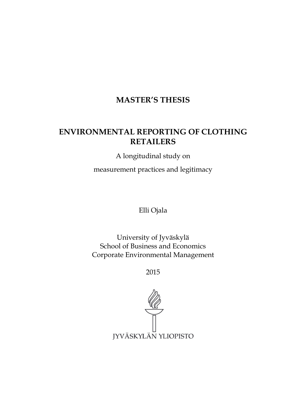## MASTER'S THESIS

# ENVIRONMENTAL REPORTING OF CLOTHING RETAILERS

A longitudinal study on

measurement practices and legitimacy

Elli Ojala

University of Jyväskylä School of Business and Economics Corporate Environmental Management

2015

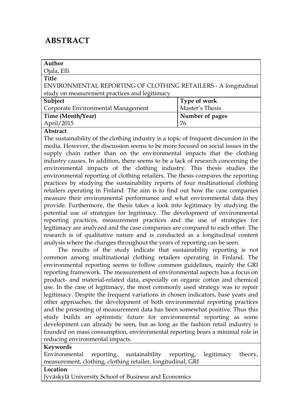# ABSTRACT

| Author                                                         |                 |  |  |
|----------------------------------------------------------------|-----------------|--|--|
| Ojala, Elli                                                    |                 |  |  |
| <b>Title</b>                                                   |                 |  |  |
| ENVIRONMENTAL REPORTING OF CLOTHING RETAILERS - A longitudinal |                 |  |  |
| study on measurement practices and legitimacy                  |                 |  |  |
| Subject                                                        | Type of work    |  |  |
| Corporate Environmental Management                             | Master's Thesis |  |  |
| Time (Month/Year)                                              | Number of pages |  |  |
| April/2015                                                     | 76              |  |  |

#### Abstract

The sustainability of the clothing industry is a topic of frequent discussion in the media. However, the discussion seems to be more focused on social issues in the supply chain rather than on the environmental impacts that the clothing industry causes. In addition, there seems to be a lack of research concerning the environmental impacts of the clothing industry. This thesis studies the environmental reporting of clothing retailers. The thesis compares the reporting practices by studying the sustainability reports of four multinational clothing retailers operating in Finland. The aim is to find out how the case companies measure their environmental performance and what environmental data they provide. Furthermore, the thesis takes a look into legitimacy by studying the potential use of strategies for legitimacy. The development of environmental reporting practices, measurement practices and the use of strategies for legitimacy are analyzed and the case companies are compared to each other. The research is of qualitative nature and is conducted as a longitudinal content analysis where the changes throughout the years of reporting can be seen.

The results of the study indicate that sustainability reporting is not common among multinational clothing retailers operating in Finland. The environmental reporting seems to follow common guidelines, mainly the GRI reporting framework. The measurement of environmental aspects has a focus on product- and material-related data, especially on organic cotton and chemical use. In the case of legitimacy, the most commonly used strategy was to repair legitimacy. Despite the frequent variations in chosen indicators, base years and other approaches, the development of both environmental reporting practices and the presenting of measurement data has been somewhat positive. Thus this study builds an optimistic future for environmental reporting as some development can already be seen, but as long as the fashion retail industry is founded on mass consumption, environmental reporting bears a minimal role in reducing environmental impacts.

#### Keywords

Environmental reporting, sustainability reporting, legitimacy theory, measurement, clothing, clothing retailer, longitudinal, GRI

#### Location

Jyväskylä University School of Business and Economics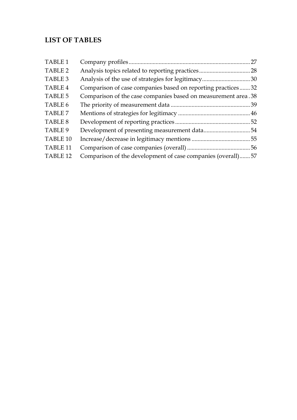## LIST OF TABLES

| TABLE 1             |                                                               |  |
|---------------------|---------------------------------------------------------------|--|
| TABLE 2             |                                                               |  |
| TABLE 3             |                                                               |  |
| <b>TABLE 4</b>      | Comparison of case companies based on reporting practices32   |  |
| TABLE 5             | Comparison of the case companies based on measurement area.38 |  |
| TABLE 6             |                                                               |  |
| TABLE 7             |                                                               |  |
| TABLE 8             |                                                               |  |
| TABLE 9             |                                                               |  |
| TABLE 10            |                                                               |  |
| TABLE <sub>11</sub> |                                                               |  |
| TABLE <sub>12</sub> | Comparison of the development of case companies (overall)57   |  |
|                     |                                                               |  |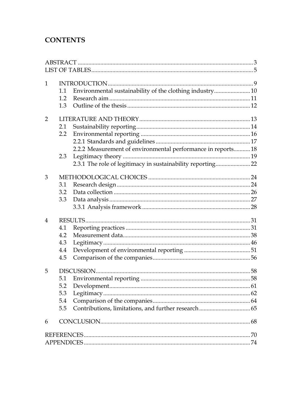## **CONTENTS**

| $\mathbf{1}$   |                  |                                                              |  |
|----------------|------------------|--------------------------------------------------------------|--|
|                | 1.1              | Environmental sustainability of the clothing industry 10     |  |
|                | 1.2              |                                                              |  |
|                | 1.3              |                                                              |  |
| $\overline{2}$ |                  |                                                              |  |
|                | 2.1              |                                                              |  |
|                | $2.2\phantom{0}$ |                                                              |  |
|                |                  |                                                              |  |
|                |                  | 2.2.2 Measurement of environmental performance in reports 18 |  |
|                | 2.3              |                                                              |  |
|                |                  | 2.3.1 The role of legitimacy in sustainability reporting 22  |  |
|                |                  |                                                              |  |
| 3              |                  |                                                              |  |
|                | 3.1              |                                                              |  |
|                | 3.2              |                                                              |  |
|                | 3.3              |                                                              |  |
|                |                  |                                                              |  |
| $\overline{4}$ |                  |                                                              |  |
|                | 4.1              |                                                              |  |
|                | 4.2              |                                                              |  |
|                | 4.3              |                                                              |  |
|                | 4.4              |                                                              |  |
|                | 4.5              |                                                              |  |
|                |                  |                                                              |  |
| 5              |                  |                                                              |  |
|                | 5.1              |                                                              |  |
|                | 5.2              |                                                              |  |
|                | 5.3              |                                                              |  |
|                | 5.4              |                                                              |  |
|                | 5.5              |                                                              |  |
| 6              |                  |                                                              |  |
|                |                  |                                                              |  |
|                |                  |                                                              |  |
|                |                  |                                                              |  |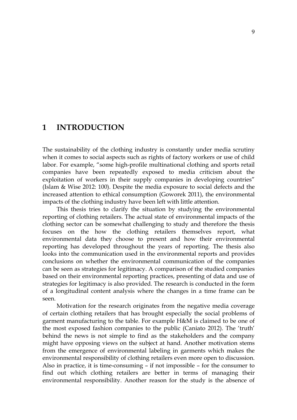## 1 INTRODUCTION

The sustainability of the clothing industry is constantly under media scrutiny when it comes to social aspects such as rights of factory workers or use of child labor. For example, "some high-profile multinational clothing and sports retail companies have been repeatedly exposed to media criticism about the exploitation of workers in their supply companies in developing countries" (Islam & Wise 2012: 100). Despite the media exposure to social defects and the increased attention to ethical consumption (Goworek 2011), the environmental impacts of the clothing industry have been left with little attention.

This thesis tries to clarify the situation by studying the environmental reporting of clothing retailers. The actual state of environmental impacts of the clothing sector can be somewhat challenging to study and therefore the thesis focuses on the how the clothing retailers themselves report, what environmental data they choose to present and how their environmental reporting has developed throughout the years of reporting. The thesis also looks into the communication used in the environmental reports and provides conclusions on whether the environmental communication of the companies can be seen as strategies for legitimacy. A comparison of the studied companies based on their environmental reporting practices, presenting of data and use of strategies for legitimacy is also provided. The research is conducted in the form of a longitudinal content analysis where the changes in a time frame can be seen.

Motivation for the research originates from the negative media coverage of certain clothing retailers that has brought especially the social problems of garment manufacturing to the table. For example H&M is claimed to be one of the most exposed fashion companies to the public (Caniato 2012). The 'truth' behind the news is not simple to find as the stakeholders and the company might have opposing views on the subject at hand. Another motivation stems from the emergence of environmental labeling in garments which makes the environmental responsibility of clothing retailers even more open to discussion. Also in practice, it is time-consuming – if not impossible – for the consumer to find out which clothing retailers are better in terms of managing their environmental responsibility. Another reason for the study is the absence of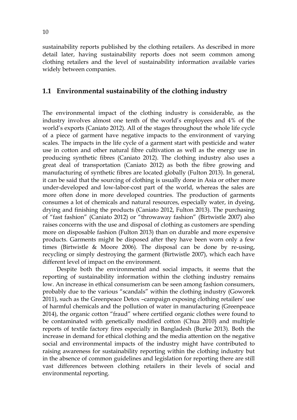sustainability reports published by the clothing retailers. As described in more detail later, having sustainability reports does not seem common among clothing retailers and the level of sustainability information available varies widely between companies.

## 1.1 Environmental sustainability of the clothing industry

The environmental impact of the clothing industry is considerable, as the industry involves almost one tenth of the world's employees and 4% of the world's exports (Caniato 2012). All of the stages throughout the whole life cycle of a piece of garment have negative impacts to the environment of varying scales. The impacts in the life cycle of a garment start with pesticide and water use in cotton and other natural fibre cultivation as well as the energy use in producing synthetic fibres (Caniato 2012). The clothing industry also uses a great deal of transportation (Caniato 2012) as both the fibre growing and manufacturing of synthetic fibres are located globally (Fulton 2013). In general, it can be said that the sourcing of clothing is usually done in Asia or other more under-developed and low-labor-cost part of the world, whereas the sales are more often done in more developed countries. The production of garments consumes a lot of chemicals and natural resources, especially water, in dyeing, drying and finishing the products (Caniato 2012, Fulton 2013). The purchasing of "fast fashion" (Caniato 2012) or "throwaway fashion" (Birtwistle 2007) also raises concerns with the use and disposal of clothing as customers are spending more on disposable fashion (Fulton 2013) than on durable and more expensive products. Garments might be disposed after they have been worn only a few times (Birtwistle & Moore 2006). The disposal can be done by re-using, recycling or simply destroying the garment (Birtwistle 2007), which each have different level of impact on the environment.

Despite both the environmental and social impacts, it seems that the reporting of sustainability information within the clothing industry remains low. An increase in ethical consumerism can be seen among fashion consumers, probably due to the various "scandals" within the clothing industry (Goworek 2011), such as the Greenpeace Detox –campaign exposing clothing retailers' use of harmful chemicals and the pollution of water in manufacturing (Greenpeace 2014), the organic cotton "fraud" where certified organic clothes were found to be contaminated with genetically modified cotton (Chua 2010) and multiple reports of textile factory fires especially in Bangladesh (Burke 2013). Both the increase in demand for ethical clothing and the media attention on the negative social and environmental impacts of the industry might have contributed to raising awareness for sustainability reporting within the clothing industry but in the absence of common guidelines and legislation for reporting there are still vast differences between clothing retailers in their levels of social and environmental reporting.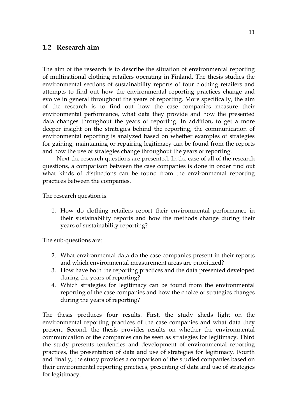## 1.2 Research aim

The aim of the research is to describe the situation of environmental reporting of multinational clothing retailers operating in Finland. The thesis studies the environmental sections of sustainability reports of four clothing retailers and attempts to find out how the environmental reporting practices change and evolve in general throughout the years of reporting. More specifically, the aim of the research is to find out how the case companies measure their environmental performance, what data they provide and how the presented data changes throughout the years of reporting. In addition, to get a more deeper insight on the strategies behind the reporting, the communication of environmental reporting is analyzed based on whether examples of strategies for gaining, maintaining or repairing legitimacy can be found from the reports and how the use of strategies change throughout the years of reporting.

Next the research questions are presented. In the case of all of the research questions, a comparison between the case companies is done in order find out what kinds of distinctions can be found from the environmental reporting practices between the companies.

The research question is:

1. How do clothing retailers report their environmental performance in their sustainability reports and how the methods change during their years of sustainability reporting?

The sub-questions are:

- 2. What environmental data do the case companies present in their reports and which environmental measurement areas are prioritized?
- 3. How have both the reporting practices and the data presented developed during the years of reporting?
- 4. Which strategies for legitimacy can be found from the environmental reporting of the case companies and how the choice of strategies changes during the years of reporting?

The thesis produces four results. First, the study sheds light on the environmental reporting practices of the case companies and what data they present. Second, the thesis provides results on whether the environmental communication of the companies can be seen as strategies for legitimacy. Third the study presents tendencies and development of environmental reporting practices, the presentation of data and use of strategies for legitimacy. Fourth and finally, the study provides a comparison of the studied companies based on their environmental reporting practices, presenting of data and use of strategies for legitimacy.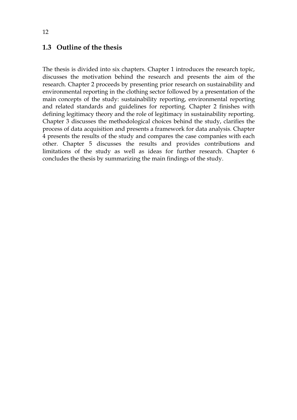## 1.3 Outline of the thesis

The thesis is divided into six chapters. Chapter 1 introduces the research topic, discusses the motivation behind the research and presents the aim of the research. Chapter 2 proceeds by presenting prior research on sustainability and environmental reporting in the clothing sector followed by a presentation of the main concepts of the study: sustainability reporting, environmental reporting and related standards and guidelines for reporting. Chapter 2 finishes with defining legitimacy theory and the role of legitimacy in sustainability reporting. Chapter 3 discusses the methodological choices behind the study, clarifies the process of data acquisition and presents a framework for data analysis. Chapter 4 presents the results of the study and compares the case companies with each other. Chapter 5 discusses the results and provides contributions and limitations of the study as well as ideas for further research. Chapter 6 concludes the thesis by summarizing the main findings of the study.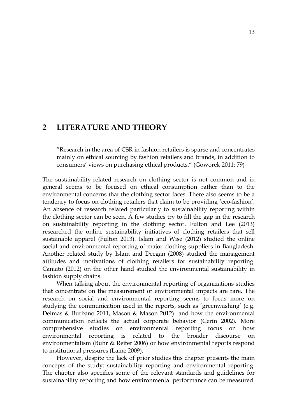## 2 LITERATURE AND THEORY

"Research in the area of CSR in fashion retailers is sparse and concentrates mainly on ethical sourcing by fashion retailers and brands, in addition to consumers' views on purchasing ethical products." (Goworek 2011: 79)

The sustainability-related research on clothing sector is not common and in general seems to be focused on ethical consumption rather than to the environmental concerns that the clothing sector faces. There also seems to be a tendency to focus on clothing retailers that claim to be providing 'eco-fashion'. An absence of research related particularly to sustainability reporting within the clothing sector can be seen. A few studies try to fill the gap in the research on sustainability reporting in the clothing sector. Fulton and Lee (2013) researched the online sustainability initiatives of clothing retailers that sell sustainable apparel (Fulton 2013). Islam and Wise (2012) studied the online social and environmental reporting of major clothing suppliers in Bangladesh. Another related study by Islam and Deegan (2008) studied the management attitudes and motivations of clothing retailers for sustainability reporting. Caniato (2012) on the other hand studied the environmental sustainability in fashion supply chains.

When talking about the environmental reporting of organizations studies that concentrate on the measurement of environmental impacts are rare. The research on social and environmental reporting seems to focus more on studying the communication used in the reports, such as 'greenwashing' (e.g. Delmas & Burbano 2011, Mason & Mason 2012) and how the environmental communication reflects the actual corporate behavior (Cerin 2002). More comprehensive studies on environmental reporting focus on how environmental reporting is related to the broader discourse on environmentalism (Buhr & Reiter 2006) or how environmental reports respond to institutional pressures (Laine 2009).

However, despite the lack of prior studies this chapter presents the main concepts of the study: sustainability reporting and environmental reporting. The chapter also specifies some of the relevant standards and guidelines for sustainability reporting and how environmental performance can be measured.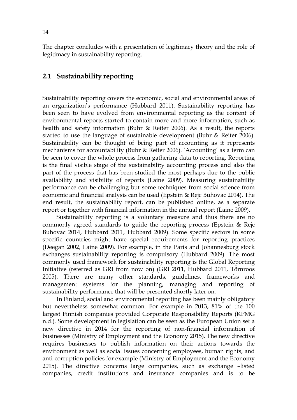The chapter concludes with a presentation of legitimacy theory and the role of legitimacy in sustainability reporting.

## 2.1 Sustainability reporting

Sustainability reporting covers the economic, social and environmental areas of an organization's performance (Hubbard 2011). Sustainability reporting has been seen to have evolved from environmental reporting as the content of environmental reports started to contain more and more information, such as health and safety information (Buhr & Reiter 2006). As a result, the reports started to use the language of sustainable development (Buhr & Reiter 2006). Sustainability can be thought of being part of accounting as it represents mechanisms for accountability (Buhr & Reiter 2006). 'Accounting' as a term can be seen to cover the whole process from gathering data to reporting. Reporting is the final visible stage of the sustainability accounting process and also the part of the process that has been studied the most perhaps due to the public availability and visibility of reports (Laine 2009). Measuring sustainability performance can be challenging but some techniques from social science from economic and financial analysis can be used (Epstein & Rejc Buhovac 2014). The end result, the sustainability report, can be published online, as a separate report or together with financial information in the annual report (Laine 2009).

Sustainability reporting is a voluntary measure and thus there are no commonly agreed standards to guide the reporting process (Epstein & Rejc Buhovac 2014, Hubbard 2011, Hubbard 2009). Some specific sectors in some specific countries might have special requirements for reporting practices (Deegan 2002, Laine 2009). For example, in the Paris and Johannesburg stock exchanges sustainability reporting is compulsory (Hubbard 2009). The most commonly used framework for sustainability reporting is the Global Reporting Initiative (referred as GRI from now on) (GRI 2011, Hubbard 2011, Törnroos 2005). There are many other standards, guidelines, frameworks and management systems for the planning, managing and reporting of sustainability performance that will be presented shortly later on.

In Finland, social and environmental reporting has been mainly obligatory but nevertheless somewhat common. For example in 2013, 81% of the 100 largest Finnish companies provided Corporate Responsibility Reports (KPMG n.d.). Some development in legislation can be seen as the European Union set a new directive in 2014 for the reporting of non-financial information of businesses (Ministry of Employment and the Economy 2015). The new directive requires businesses to publish information on their actions towards the environment as well as social issues concerning employees, human rights, and anti-corruption policies for example (Ministry of Employment and the Economy 2015). The directive concerns large companies, such as exchange –listed companies, credit institutions and insurance companies and is to be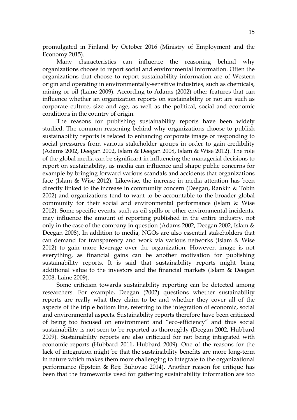promulgated in Finland by October 2016 (Ministry of Employment and the Economy 2015).

Many characteristics can influence the reasoning behind why organizations choose to report social and environmental information. Often the organizations that choose to report sustainability information are of Western origin and operating in environmentally-sensitive industries, such as chemicals, mining or oil (Laine 2009). According to Adams (2002) other features that can influence whether an organization reports on sustainability or not are such as corporate culture, size and age, as well as the political, social and economic conditions in the country of origin.

The reasons for publishing sustainability reports have been widely studied. The common reasoning behind why organizations choose to publish sustainability reports is related to enhancing corporate image or responding to social pressures from various stakeholder groups in order to gain credibility (Adams 2002, Deegan 2002, Islam & Deegan 2008, Islam & Wise 2012). The role of the global media can be significant in influencing the managerial decisions to report on sustainability, as media can influence and shape public concerns for example by bringing forward various scandals and accidents that organizations face (Islam & Wise 2012). Likewise, the increase in media attention has been directly linked to the increase in community concern (Deegan, Rankin & Tobin 2002) and organizations tend to want to be accountable to the broader global community for their social and environmental performance (Islam & Wise 2012). Some specific events, such as oil spills or other environmental incidents, may influence the amount of reporting published in the entire industry, not only in the case of the company in question (Adams 2002, Deegan 2002, Islam & Deegan 2008). In addition to media, NGOs are also essential stakeholders that can demand for transparency and work via various networks (Islam & Wise 2012) to gain more leverage over the organization. However, image is not everything, as financial gains can be another motivation for publishing sustainability reports. It is said that sustainability reports might bring additional value to the investors and the financial markets (Islam & Deegan 2008, Laine 2009).

Some criticism towards sustainability reporting can be detected among researchers. For example, Deegan (2002) questions whether sustainability reports are really what they claim to be and whether they cover all of the aspects of the triple bottom line, referring to the integration of economic, social and environmental aspects. Sustainability reports therefore have been criticized of being too focused on environment and "eco-efficiency" and thus social sustainability is not seen to be reported as thoroughly (Deegan 2002, Hubbard 2009). Sustainability reports are also criticized for not being integrated with economic reports (Hubbard 2011, Hubbard 2009). One of the reasons for the lack of integration might be that the sustainability benefits are more long-term in nature which makes them more challenging to integrate to the organizational performance (Epstein & Rejc Buhovac 2014). Another reason for critique has been that the frameworks used for gathering sustainability information are too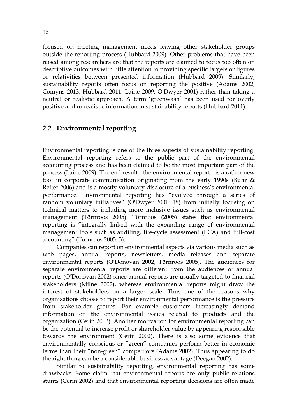focused on meeting management needs leaving other stakeholder groups outside the reporting process (Hubbard 2009). Other problems that have been raised among researchers are that the reports are claimed to focus too often on descriptive outcomes with little attention to providing specific targets or figures or relativities between presented information (Hubbard 2009). Similarly, sustainability reports often focus on reporting the positive (Adams 2002, Comyns 2013, Hubbard 2011, Laine 2009, O'Dwyer 2001) rather than taking a neutral or realistic approach. A term 'greenwash' has been used for overly positive and unrealistic information in sustainability reports (Hubbard 2011).

## 2.2 Environmental reporting

Environmental reporting is one of the three aspects of sustainability reporting. Environmental reporting refers to the public part of the environmental accounting process and has been claimed to be the most important part of the process (Laine 2009). The end result - the environmental report - is a rather new tool in corporate communication originating from the early 1990s (Buhr & Reiter 2006) and is a mostly voluntary disclosure of a business's environmental performance. Environmental reporting has "evolved through a series of random voluntary initiatives" (O'Dwyer 2001: 18) from initially focusing on technical matters to including more inclusive issues such as environmental management (Törnroos 2005). Törnroos (2005) states that environmental reporting is "integrally linked with the expanding range of environmental management tools such as auditing, life-cycle assessment (LCA) and full-cost accounting" (Törnroos 2005: 3).

Companies can report on environmental aspects via various media such as web pages, annual reports, newsletters, media releases and separate environmental reports (O'Donovan 2002, Törnroos 2005). The audiences for separate environmental reports are different from the audiences of annual reports (O'Donovan 2002) since annual reports are usually targeted to financial stakeholders (Milne 2002), whereas environmental reports might draw the interest of stakeholders on a larger scale. Thus one of the reasons why organizations choose to report their environmental performance is the pressure from stakeholder groups. For example customers increasingly demand information on the environmental issues related to products and the organization (Cerin 2002). Another motivation for environmental reporting can be the potential to increase profit or shareholder value by appearing responsible towards the environment (Cerin 2002). There is also some evidence that environmentally conscious or "green" companies perform better in economic terms than their "non-green" competitors (Adams 2002). Thus appearing to do the right thing can be a considerable business advantage (Deegan 2002).

Similar to sustainability reporting, environmental reporting has some drawbacks. Some claim that environmental reports are only public relations stunts (Cerin 2002) and that environmental reporting decisions are often made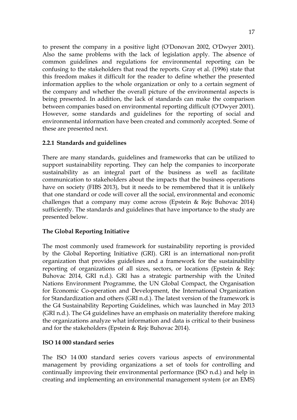to present the company in a positive light (O'Donovan 2002, O'Dwyer 2001). Also the same problems with the lack of legislation apply. The absence of common guidelines and regulations for environmental reporting can be confusing to the stakeholders that read the reports. Gray et al. (1996) state that this freedom makes it difficult for the reader to define whether the presented information applies to the whole organization or only to a certain segment of the company and whether the overall picture of the environmental aspects is being presented. In addition, the lack of standards can make the comparison between companies based on environmental reporting difficult (O'Dwyer 2001). However, some standards and guidelines for the reporting of social and environmental information have been created and commonly accepted. Some of these are presented next.

### 2.2.1 Standards and guidelines

There are many standards, guidelines and frameworks that can be utilized to support sustainability reporting. They can help the companies to incorporate sustainability as an integral part of the business as well as facilitate communication to stakeholders about the impacts that the business operations have on society (FIBS 2013), but it needs to be remembered that it is unlikely that one standard or code will cover all the social, environmental and economic challenges that a company may come across (Epstein & Rejc Buhovac 2014) sufficiently. The standards and guidelines that have importance to the study are presented below.

#### The Global Reporting Initiative

The most commonly used framework for sustainability reporting is provided by the Global Reporting Initiative (GRI). GRI is an international non-profit organization that provides guidelines and a framework for the sustainability reporting of organizations of all sizes, sectors, or locations (Epstein & Rejc Buhovac 2014, GRI n.d.). GRI has a strategic partnership with the United Nations Environment Programme, the UN Global Compact, the Organisation for Economic Co-operation and Development, the International Organization for Standardization and others (GRI n.d.). The latest version of the framework is the G4 Sustainability Reporting Guidelines, which was launched in May 2013 (GRI n.d.). The G4 guidelines have an emphasis on materiality therefore making the organizations analyze what information and data is critical to their business and for the stakeholders (Epstein & Rejc Buhovac 2014).

#### ISO 14 000 standard series

The ISO 14 000 standard series covers various aspects of environmental management by providing organizations a set of tools for controlling and continually improving their environmental performance (ISO n.d.) and help in creating and implementing an environmental management system (or an EMS)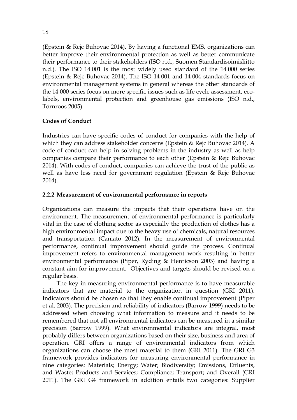(Epstein & Rejc Buhovac 2014). By having a functional EMS, organizations can better improve their environmental protection as well as better communicate their performance to their stakeholders (ISO n.d., Suomen Standardisoimisliitto n.d.). The ISO 14 001 is the most widely used standard of the 14 000 series (Epstein & Rejc Buhovac 2014). The ISO 14 001 and 14 004 standards focus on environmental management systems in general whereas the other standards of the 14 000 series focus on more specific issues such as life cycle assessment, ecolabels, environmental protection and greenhouse gas emissions (ISO n.d., Törnroos 2005).

### Codes of Conduct

Industries can have specific codes of conduct for companies with the help of which they can address stakeholder concerns (Epstein & Rejc Buhovac 2014). A code of conduct can help in solving problems in the industry as well as help companies compare their performance to each other (Epstein & Rejc Buhovac 2014). With codes of conduct, companies can achieve the trust of the public as well as have less need for government regulation (Epstein & Rejc Buhovac 2014).

#### 2.2.2 Measurement of environmental performance in reports

Organizations can measure the impacts that their operations have on the environment. The measurement of environmental performance is particularly vital in the case of clothing sector as especially the production of clothes has a high environmental impact due to the heavy use of chemicals, natural resources and transportation (Caniato 2012). In the measurement of environmental performance, continual improvement should guide the process. Continual improvement refers to environmental management work resulting in better environmental performance (Piper, Ryding & Henricson 2003) and having a constant aim for improvement. Objectives and targets should be revised on a regular basis.

The key in measuring environmental performance is to have measurable indicators that are material to the organization in question (GRI 2011). Indicators should be chosen so that they enable continual improvement (Piper et al. 2003). The precision and reliability of indicators (Barrow 1999) needs to be addressed when choosing what information to measure and it needs to be remembered that not all environmental indicators can be measured in a similar precision (Barrow 1999). What environmental indicators are integral, most probably differs between organizations based on their size, business and area of operation. GRI offers a range of environmental indicators from which organizations can choose the most material to them (GRI 2011). The GRI G3 framework provides indicators for measuring environmental performance in nine categories: Materials; Energy; Water; Biodiversity; Emissions, Effluents, and Waste; Products and Services; Compliance; Transport; and Overall (GRI 2011). The GRI G4 framework in addition entails two categories: Supplier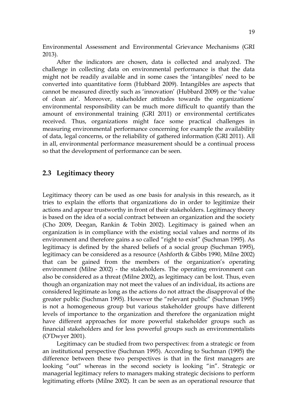Environmental Assessment and Environmental Grievance Mechanisms (GRI 2013).

After the indicators are chosen, data is collected and analyzed. The challenge in collecting data on environmental performance is that the data might not be readily available and in some cases the 'intangibles' need to be converted into quantitative form (Hubbard 2009). Intangibles are aspects that cannot be measured directly such as 'innovation' (Hubbard 2009) or the 'value of clean air'. Moreover, stakeholder attitudes towards the organizations' environmental responsibility can be much more difficult to quantify than the amount of environmental training (GRI 2011) or environmental certificates received. Thus, organizations might face some practical challenges in measuring environmental performance concerning for example the availability of data, legal concerns, or the reliability of gathered information (GRI 2011). All in all, environmental performance measurement should be a continual process so that the development of performance can be seen.

### 2.3 Legitimacy theory

Legitimacy theory can be used as one basis for analysis in this research, as it tries to explain the efforts that organizations do in order to legitimize their actions and appear trustworthy in front of their stakeholders. Legitimacy theory is based on the idea of a social contract between an organization and the society (Cho 2009, Deegan, Rankin & Tobin 2002). Legitimacy is gained when an organization is in compliance with the existing social values and norms of its environment and therefore gains a so called "right to exist" (Suchman 1995). As legitimacy is defined by the shared beliefs of a social group (Suchman 1995), legitimacy can be considered as a resource (Ashforth & Gibbs 1990, Milne 2002) that can be gained from the members of the organization's operating environment (Milne 2002) - the stakeholders. The operating environment can also be considered as a threat (Milne 2002), as legitimacy can be lost. Thus, even though an organization may not meet the values of an individual, its actions are considered legitimate as long as the actions do not attract the disapproval of the greater public (Suchman 1995). However the "relevant public" (Suchman 1995) is not a homogeneous group but various stakeholder groups have different levels of importance to the organization and therefore the organization might have different approaches for more powerful stakeholder groups such as financial stakeholders and for less powerful groups such as environmentalists (O'Dwyer 2001).

Legitimacy can be studied from two perspectives: from a strategic or from an institutional perspective (Suchman 1995). According to Suchman (1995) the difference between these two perspectives is that in the first managers are looking "out" whereas in the second society is looking "in". Strategic or managerial legitimacy refers to managers making strategic decisions to perform legitimating efforts (Milne 2002). It can be seen as an operational resource that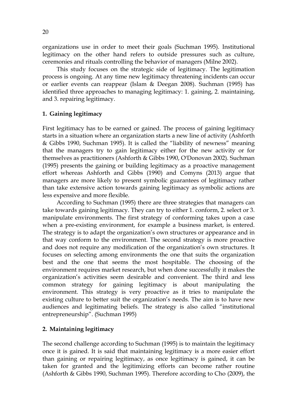organizations use in order to meet their goals (Suchman 1995). Institutional legitimacy on the other hand refers to outside pressures such as culture, ceremonies and rituals controlling the behavior of managers (Milne 2002).

This study focuses on the strategic side of legitimacy. The legitimation process is ongoing. At any time new legitimacy threatening incidents can occur or earlier events can reappear (Islam & Deegan 2008). Suchman (1995) has identified three approaches to managing legitimacy: 1. gaining, 2. maintaining, and 3. repairing legitimacy.

#### 1. Gaining legitimacy

First legitimacy has to be earned or gained. The process of gaining legitimacy starts in a situation where an organization starts a new line of activity (Ashforth & Gibbs 1990, Suchman 1995). It is called the "liability of newness" meaning that the managers try to gain legitimacy either for the new activity or for themselves as practitioners (Ashforth & Gibbs 1990, O'Donovan 2002). Suchman (1995) presents the gaining or building legitimacy as a proactive management effort whereas Ashforth and Gibbs (1990) and Comyns (2013) argue that managers are more likely to present symbolic guarantees of legitimacy rather than take extensive action towards gaining legitimacy as symbolic actions are less expensive and more flexible.

According to Suchman (1995) there are three strategies that managers can take towards gaining legitimacy. They can try to either 1. conform, 2. select or 3. manipulate environments. The first strategy of conforming takes upon a case when a pre-existing environment, for example a business market, is entered. The strategy is to adapt the organization's own structures or appearance and in that way conform to the environment. The second strategy is more proactive and does not require any modification of the organization's own structures. It focuses on selecting among environments the one that suits the organization best and the one that seems the most hospitable. The choosing of the environment requires market research, but when done successfully it makes the organization's activities seem desirable and convenient. The third and less common strategy for gaining legitimacy is about manipulating the environment. This strategy is very proactive as it tries to manipulate the existing culture to better suit the organization's needs. The aim is to have new audiences and legitimating beliefs. The strategy is also called "institutional entrepreneurship". (Suchman 1995)

#### 2. Maintaining legitimacy

The second challenge according to Suchman (1995) is to maintain the legitimacy once it is gained. It is said that maintaining legitimacy is a more easier effort than gaining or repairing legitimacy, as once legitimacy is gained, it can be taken for granted and the legitimizing efforts can become rather routine (Ashforth & Gibbs 1990, Suchman 1995). Therefore according to Cho (2009), the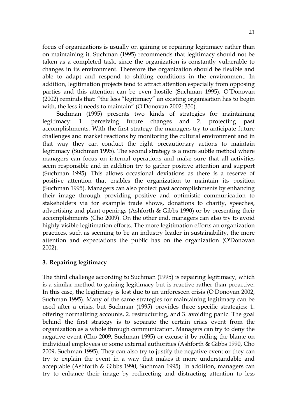focus of organizations is usually on gaining or repairing legitimacy rather than on maintaining it. Suchman (1995) recommends that legitimacy should not be taken as a completed task, since the organization is constantly vulnerable to changes in its environment. Therefore the organization should be flexible and able to adapt and respond to shifting conditions in the environment. In addition, legitimation projects tend to attract attention especially from opposing parties and this attention can be even hostile (Suchman 1995). O'Donovan (2002) reminds that: "the less "legitimacy" an existing organisation has to begin with, the less it needs to maintain" (O'Donovan 2002: 350).

Suchman (1995) presents two kinds of strategies for maintaining legitimacy: 1. perceiving future changes and 2. protecting past accomplishments. With the first strategy the managers try to anticipate future challenges and market reactions by monitoring the cultural environment and in that way they can conduct the right precautionary actions to maintain legitimacy (Suchman 1995). The second strategy is a more subtle method where managers can focus on internal operations and make sure that all activities seem responsible and in addition try to gather positive attention and support (Suchman 1995). This allows occasional deviations as there is a reserve of positive attention that enables the organization to maintain its position (Suchman 1995). Managers can also protect past accomplishments by enhancing their image through providing positive and optimistic communication to stakeholders via for example trade shows, donations to charity, speeches, advertising and plant openings (Ashforth & Gibbs 1990) or by presenting their accomplishments (Cho 2009). On the other end, managers can also try to avoid highly visible legitimation efforts. The more legitimation efforts an organization practices, such as seeming to be an industry leader in sustainability, the more attention and expectations the public has on the organization (O'Donovan 2002).

#### 3. Repairing legitimacy

The third challenge according to Suchman (1995) is repairing legitimacy, which is a similar method to gaining legitimacy but is reactive rather than proactive. In this case, the legitimacy is lost due to an unforeseen crisis (O'Donovan 2002, Suchman 1995). Many of the same strategies for maintaining legitimacy can be used after a crisis, but Suchman (1995) provides three specific strategies: 1. offering normalizing accounts, 2. restructuring, and 3. avoiding panic. The goal behind the first strategy is to separate the certain crisis event from the organization as a whole through communication. Managers can try to deny the negative event (Cho 2009, Suchman 1995) or excuse it by rolling the blame on individual employees or some external authorities (Ashforth & Gibbs 1990, Cho 2009, Suchman 1995). They can also try to justify the negative event or they can try to explain the event in a way that makes it more understandable and acceptable (Ashforth & Gibbs 1990, Suchman 1995). In addition, managers can try to enhance their image by redirecting and distracting attention to less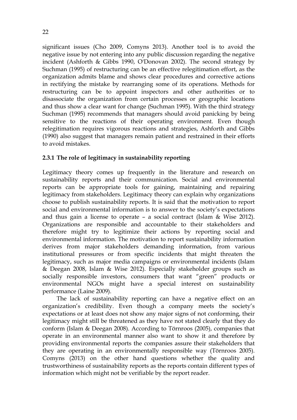significant issues (Cho 2009, Comyns 2013). Another tool is to avoid the negative issue by not entering into any public discussion regarding the negative incident (Ashforth & Gibbs 1990, O'Donovan 2002). The second strategy by Suchman (1995) of restructuring can be an effective relegitimation effort, as the organization admits blame and shows clear procedures and corrective actions in rectifying the mistake by rearranging some of its operations. Methods for restructuring can be to appoint inspectors and other authorities or to disassociate the organization from certain processes or geographic locations and thus show a clear want for change (Suchman 1995). With the third strategy Suchman (1995) recommends that managers should avoid panicking by being sensitive to the reactions of their operating environment. Even though relegitimation requires vigorous reactions and strategies, Ashforth and Gibbs (1990) also suggest that managers remain patient and restrained in their efforts to avoid mistakes.

### 2.3.1 The role of legitimacy in sustainability reporting

Legitimacy theory comes up frequently in the literature and research on sustainability reports and their communication. Social and environmental reports can be appropriate tools for gaining, maintaining and repairing legitimacy from stakeholders. Legitimacy theory can explain why organizations choose to publish sustainability reports. It is said that the motivation to report social and environmental information is to answer to the society's expectations and thus gain a license to operate – a social contract (Islam & Wise 2012). Organizations are responsible and accountable to their stakeholders and therefore might try to legitimize their actions by reporting social and environmental information. The motivation to report sustainability information derives from major stakeholders demanding information, from various institutional pressures or from specific incidents that might threaten the legitimacy, such as major media campaigns or environmental incidents (Islam & Deegan 2008, Islam & Wise 2012). Especially stakeholder groups such as socially responsible investors, consumers that want "green" products or environmental NGOs might have a special interest on sustainability performance (Laine 2009).

The lack of sustainability reporting can have a negative effect on an organization's credibility. Even though a company meets the society's expectations or at least does not show any major signs of not conforming, their legitimacy might still be threatened as they have not stated clearly that they do conform (Islam & Deegan 2008). According to Törnroos (2005), companies that operate in an environmental manner also want to show it and therefore by providing environmental reports the companies assure their stakeholders that they are operating in an environmentally responsible way (Törnroos 2005). Comyns (2013) on the other hand questions whether the quality and trustworthiness of sustainability reports as the reports contain different types of information which might not be verifiable by the report reader.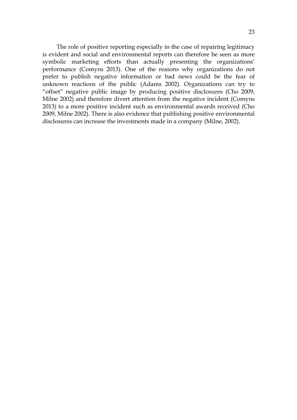The role of positive reporting especially in the case of repairing legitimacy is evident and social and environmental reports can therefore be seen as more symbolic marketing efforts than actually presenting the organizations' performance (Comyns 2013). One of the reasons why organizations do not prefer to publish negative information or bad news could be the fear of unknown reactions of the public (Adams 2002). Organizations can try to "offset" negative public image by producing positive disclosures (Cho 2009, Milne 2002) and therefore divert attention from the negative incident (Comyns 2013) to a more positive incident such as environmental awards received (Cho 2009, Milne 2002). There is also evidence that publishing positive environmental disclosures can increase the investments made in a company (Milne, 2002).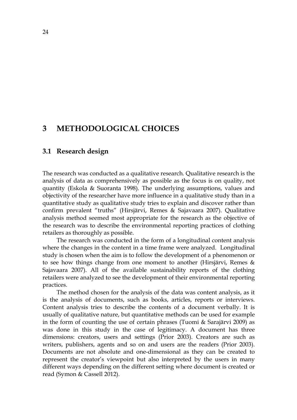## 3 METHODOLOGICAL CHOICES

#### 3.1 Research design

The research was conducted as a qualitative research. Qualitative research is the analysis of data as comprehensively as possible as the focus is on quality, not quantity (Eskola & Suoranta 1998). The underlying assumptions, values and objectivity of the researcher have more influence in a qualitative study than in a quantitative study as qualitative study tries to explain and discover rather than confirm prevalent "truths" (Hirsjärvi, Remes & Sajavaara 2007). Qualitative analysis method seemed most appropriate for the research as the objective of the research was to describe the environmental reporting practices of clothing retailers as thoroughly as possible.

The research was conducted in the form of a longitudinal content analysis where the changes in the content in a time frame were analyzed. Longitudinal study is chosen when the aim is to follow the development of a phenomenon or to see how things change from one moment to another (Hirsjärvi, Remes & Sajavaara 2007). All of the available sustainability reports of the clothing retailers were analyzed to see the development of their environmental reporting practices.

The method chosen for the analysis of the data was content analysis, as it is the analysis of documents, such as books, articles, reports or interviews. Content analysis tries to describe the contents of a document verbally. It is usually of qualitative nature, but quantitative methods can be used for example in the form of counting the use of certain phrases (Tuomi & Sarajärvi 2009) as was done in this study in the case of legitimacy. A document has three dimensions: creators, users and settings (Prior 2003). Creators are such as writers, publishers, agents and so on and users are the readers (Prior 2003). Documents are not absolute and one-dimensional as they can be created to represent the creator's viewpoint but also interpreted by the users in many different ways depending on the different setting where document is created or read (Symon & Cassell 2012).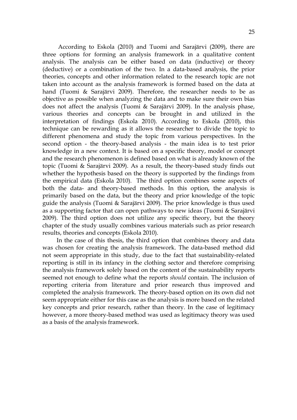According to Eskola (2010) and Tuomi and Sarajärvi (2009), there are three options for forming an analysis framework in a qualitative content analysis. The analysis can be either based on data (inductive) or theory (deductive) or a combination of the two. In a data-based analysis, the prior theories, concepts and other information related to the research topic are not taken into account as the analysis framework is formed based on the data at hand (Tuomi & Sarajärvi 2009). Therefore, the researcher needs to be as objective as possible when analyzing the data and to make sure their own bias does not affect the analysis (Tuomi & Sarajärvi 2009). In the analysis phase, various theories and concepts can be brought in and utilized in the interpretation of findings (Eskola 2010). According to Eskola (2010), this technique can be rewarding as it allows the researcher to divide the topic to different phenomena and study the topic from various perspectives. In the second option - the theory-based analysis - the main idea is to test prior knowledge in a new context. It is based on a specific theory, model or concept and the research phenomenon is defined based on what is already known of the topic (Tuomi & Sarajärvi 2009). As a result, the theory-based study finds out whether the hypothesis based on the theory is supported by the findings from the empirical data (Eskola 2010). The third option combines some aspects of both the data- and theory-based methods. In this option, the analysis is primarily based on the data, but the theory and prior knowledge of the topic guide the analysis (Tuomi & Sarajärvi 2009). The prior knowledge is thus used as a supporting factor that can open pathways to new ideas (Tuomi & Sarajärvi 2009). The third option does not utilize any specific theory, but the theory chapter of the study usually combines various materials such as prior research results, theories and concepts (Eskola 2010).

In the case of this thesis, the third option that combines theory and data was chosen for creating the analysis framework. The data-based method did not seem appropriate in this study, due to the fact that sustainability-related reporting is still in its infancy in the clothing sector and therefore comprising the analysis framework solely based on the content of the sustainability reports seemed not enough to define what the reports should contain. The inclusion of reporting criteria from literature and prior research thus improved and completed the analysis framework. The theory-based option on its own did not seem appropriate either for this case as the analysis is more based on the related key concepts and prior research, rather than theory. In the case of legitimacy however, a more theory-based method was used as legitimacy theory was used as a basis of the analysis framework.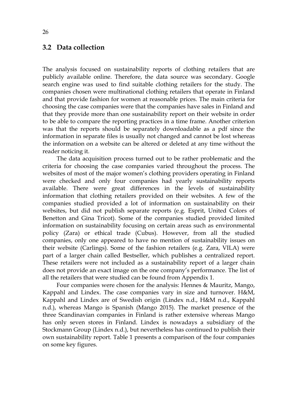#### 3.2 Data collection

The analysis focused on sustainability reports of clothing retailers that are publicly available online. Therefore, the data source was secondary. Google search engine was used to find suitable clothing retailers for the study. The companies chosen were multinational clothing retailers that operate in Finland and that provide fashion for women at reasonable prices. The main criteria for choosing the case companies were that the companies have sales in Finland and that they provide more than one sustainability report on their website in order to be able to compare the reporting practices in a time frame. Another criterion was that the reports should be separately downloadable as a pdf since the information in separate files is usually not changed and cannot be lost whereas the information on a website can be altered or deleted at any time without the reader noticing it.

The data acquisition process turned out to be rather problematic and the criteria for choosing the case companies varied throughout the process. The websites of most of the major women's clothing providers operating in Finland were checked and only four companies had yearly sustainability reports available. There were great differences in the levels of sustainability information that clothing retailers provided on their websites. A few of the companies studied provided a lot of information on sustainability on their websites, but did not publish separate reports (e.g. Esprit, United Colors of Benetton and Gina Tricot). Some of the companies studied provided limited information on sustainability focusing on certain areas such as environmental policy (Zara) or ethical trade (Cubus). However, from all the studied companies, only one appeared to have no mention of sustainability issues on their website (Carlings). Some of the fashion retailers (e.g. Zara, VILA) were part of a larger chain called Bestseller, which publishes a centralized report. These retailers were not included as a sustainability report of a larger chain does not provide an exact image on the one company's performance. The list of all the retailers that were studied can be found from Appendix 1.

Four companies were chosen for the analysis: Hennes & Mauritz, Mango, Kappahl and Lindex. The case companies vary in size and turnover. H&M, Kappahl and Lindex are of Swedish origin (Lindex n.d., H&M n.d., Kappahl n.d.), whereas Mango is Spanish (Mango 2015). The market presence of the three Scandinavian companies in Finland is rather extensive whereas Mango has only seven stores in Finland. Lindex is nowadays a subsidiary of the Stockmann Group (Lindex n.d.), but nevertheless has continued to publish their own sustainability report. Table 1 presents a comparison of the four companies on some key figures.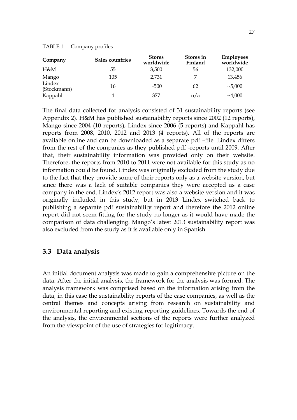| TABLE 1 | Company profiles |  |
|---------|------------------|--|
|---------|------------------|--|

| Company               | Sales countries | <b>Stores</b><br>worldwide | Stores in<br>Finland | <b>Employees</b><br>worldwide |
|-----------------------|-----------------|----------------------------|----------------------|-------------------------------|
| H&M                   | 55              | 3,500                      | 56                   | 132,000                       |
| Mango                 | 105             | 2,731                      |                      | 13,456                        |
| Lindex<br>(Stockmann) | 16              | ~100                       | 62                   | ~1000                         |
| Kappahl               |                 | 377                        | n/a                  | ~1,000                        |

The final data collected for analysis consisted of 31 sustainability reports (see Appendix 2). H&M has published sustainability reports since 2002 (12 reports), Mango since 2004 (10 reports), Lindex since 2006 (5 reports) and Kappahl has reports from 2008, 2010, 2012 and 2013 (4 reports). All of the reports are available online and can be downloaded as a separate pdf –file. Lindex differs from the rest of the companies as they published pdf -reports until 2009. After that, their sustainability information was provided only on their website. Therefore, the reports from 2010 to 2011 were not available for this study as no information could be found. Lindex was originally excluded from the study due to the fact that they provide some of their reports only as a website version, but since there was a lack of suitable companies they were accepted as a case company in the end. Lindex's 2012 report was also a website version and it was originally included in this study, but in 2013 Lindex switched back to publishing a separate pdf sustainability report and therefore the 2012 online report did not seem fitting for the study no longer as it would have made the comparison of data challenging. Mango's latest 2013 sustainability report was also excluded from the study as it is available only in Spanish.

## 3.3 Data analysis

An initial document analysis was made to gain a comprehensive picture on the data. After the initial analysis, the framework for the analysis was formed. The analysis framework was comprised based on the information arising from the data, in this case the sustainability reports of the case companies, as well as the central themes and concepts arising from research on sustainability and environmental reporting and existing reporting guidelines. Towards the end of the analysis, the environmental sections of the reports were further analyzed from the viewpoint of the use of strategies for legitimacy.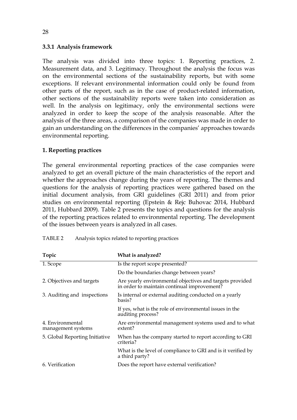#### 3.3.1 Analysis framework

The analysis was divided into three topics: 1. Reporting practices, 2. Measurement data, and 3. Legitimacy. Throughout the analysis the focus was on the environmental sections of the sustainability reports, but with some exceptions. If relevant environmental information could only be found from other parts of the report, such as in the case of product-related information, other sections of the sustainability reports were taken into consideration as well. In the analysis on legitimacy, only the environmental sections were analyzed in order to keep the scope of the analysis reasonable. After the analysis of the three areas, a comparison of the companies was made in order to gain an understanding on the differences in the companies' approaches towards environmental reporting.

#### 1. Reporting practices

The general environmental reporting practices of the case companies were analyzed to get an overall picture of the main characteristics of the report and whether the approaches change during the years of reporting. The themes and questions for the analysis of reporting practices were gathered based on the initial document analysis, from GRI guidelines (GRI 2011) and from prior studies on environmental reporting (Epstein & Rejc Buhovac 2014, Hubbard 2011, Hubbard 2009). Table 2 presents the topics and questions for the analysis of the reporting practices related to environmental reporting. The development of the issues between years is analyzed in all cases.

| Topic                                  | What is analyzed?                                                                                       |  |  |
|----------------------------------------|---------------------------------------------------------------------------------------------------------|--|--|
| 1. Scope                               | Is the report scope presented?                                                                          |  |  |
|                                        | Do the boundaries change between years?                                                                 |  |  |
| 2. Objectives and targets              | Are yearly environmental objectives and targets provided<br>in order to maintain continual improvement? |  |  |
| 3. Auditing and inspections            | Is internal or external auditing conducted on a yearly<br>basis?                                        |  |  |
|                                        | If yes, what is the role of environmental issues in the<br>auditing process?                            |  |  |
| 4. Environmental<br>management systems | Are environmental management systems used and to what<br>extent?                                        |  |  |
| 5. Global Reporting Initiative         | When has the company started to report according to GRI<br>criteria?                                    |  |  |
|                                        | What is the level of compliance to GRI and is it verified by<br>a third party?                          |  |  |
| 6. Verification                        | Does the report have external verification?                                                             |  |  |

TABLE 2 Analysis topics related to reporting practices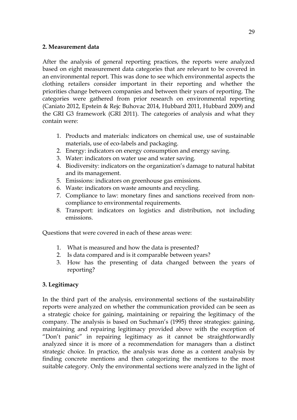#### 2. Measurement data

After the analysis of general reporting practices, the reports were analyzed based on eight measurement data categories that are relevant to be covered in an environmental report. This was done to see which environmental aspects the clothing retailers consider important in their reporting and whether the priorities change between companies and between their years of reporting. The categories were gathered from prior research on environmental reporting (Caniato 2012, Epstein & Rejc Buhovac 2014, Hubbard 2011, Hubbard 2009) and the GRI G3 framework (GRI 2011). The categories of analysis and what they contain were:

- 1. Products and materials: indicators on chemical use, use of sustainable materials, use of eco-labels and packaging.
- 2. Energy: indicators on energy consumption and energy saving.
- 3. Water: indicators on water use and water saving.
- 4. Biodiversity: indicators on the organization's damage to natural habitat and its management.
- 5. Emissions: indicators on greenhouse gas emissions.
- 6. Waste: indicators on waste amounts and recycling.
- 7. Compliance to law: monetary fines and sanctions received from noncompliance to environmental requirements.
- 8. Transport: indicators on logistics and distribution, not including emissions.

Questions that were covered in each of these areas were:

- 1. What is measured and how the data is presented?
- 2. Is data compared and is it comparable between years?
- 3. How has the presenting of data changed between the years of reporting?

## 3. Legitimacy

In the third part of the analysis, environmental sections of the sustainability reports were analyzed on whether the communication provided can be seen as a strategic choice for gaining, maintaining or repairing the legitimacy of the company. The analysis is based on Suchman's (1995) three strategies: gaining, maintaining and repairing legitimacy provided above with the exception of "Don't panic" in repairing legitimacy as it cannot be straightforwardly analyzed since it is more of a recommendation for managers than a distinct strategic choice. In practice, the analysis was done as a content analysis by finding concrete mentions and then categorizing the mentions to the most suitable category. Only the environmental sections were analyzed in the light of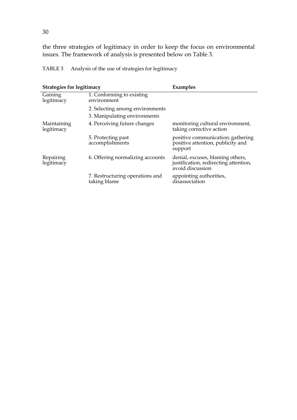the three strategies of legitimacy in order to keep the focus on environmental issues. The framework of analysis is presented below on Table 3.

TABLE 3 Analysis of the use of strategies for legitimacy

| <b>Strategies for legitimacy</b> |                                                 | Examples                                                                                      |
|----------------------------------|-------------------------------------------------|-----------------------------------------------------------------------------------------------|
| Gaining<br>legitimacy            | 1. Conforming to existing<br>environment        |                                                                                               |
|                                  | 2. Selecting among environments                 |                                                                                               |
|                                  | 3. Manipulating environments                    |                                                                                               |
| Maintaining<br>legitimacy        | 4. Perceiving future changes                    | monitoring cultural environment,<br>taking corrective action                                  |
|                                  | 5. Protecting past<br>accomplishments           | positive communication; gathering<br>positive attention, publicity and<br>support             |
| Repairing<br>legitimacy          | 6. Offering normalizing accounts                | denial, excuses, blaming others,<br>justification, redirecting attention,<br>avoid discussion |
|                                  | 7. Restructuring operations and<br>taking blame | appointing authorities,<br>disassociation                                                     |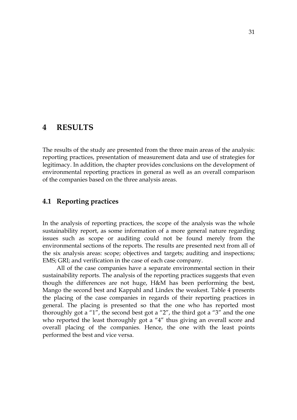## 4 RESULTS

The results of the study are presented from the three main areas of the analysis: reporting practices, presentation of measurement data and use of strategies for legitimacy. In addition, the chapter provides conclusions on the development of environmental reporting practices in general as well as an overall comparison of the companies based on the three analysis areas.

#### 4.1 Reporting practices

In the analysis of reporting practices, the scope of the analysis was the whole sustainability report, as some information of a more general nature regarding issues such as scope or auditing could not be found merely from the environmental sections of the reports. The results are presented next from all of the six analysis areas: scope; objectives and targets; auditing and inspections; EMS; GRI; and verification in the case of each case company.

All of the case companies have a separate environmental section in their sustainability reports. The analysis of the reporting practices suggests that even though the differences are not huge, H&M has been performing the best, Mango the second best and Kappahl and Lindex the weakest. Table 4 presents the placing of the case companies in regards of their reporting practices in general. The placing is presented so that the one who has reported most thoroughly got a "1", the second best got a "2", the third got a "3" and the one who reported the least thoroughly got a "4" thus giving an overall score and overall placing of the companies. Hence, the one with the least points performed the best and vice versa.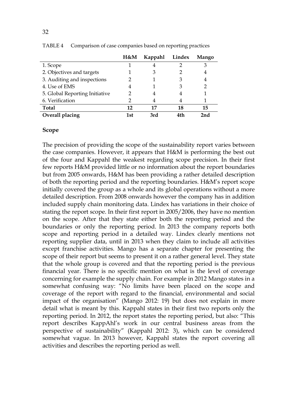|                                | H&M | Kappahl | Lindex | Mango |
|--------------------------------|-----|---------|--------|-------|
| 1. Scope                       |     |         |        | 3     |
| 2. Objectives and targets      |     | З       |        | 4     |
| 3. Auditing and inspections    |     |         |        | 4     |
| 4. Use of EMS                  |     |         |        |       |
| 5. Global Reporting Initiative |     |         |        |       |
| 6. Verification                |     |         |        |       |
| <b>Total</b>                   | 12  | 17      | 18     | 15    |
| Overall placing                | 1st | 3rd     | 4th    | 2nd   |

TABLE 4 Comparison of case companies based on reporting practices

#### Scope

The precision of providing the scope of the sustainability report varies between the case companies. However, it appears that H&M is performing the best out of the four and Kappahl the weakest regarding scope precision. In their first few reports H&M provided little or no information about the report boundaries but from 2005 onwards, H&M has been providing a rather detailed description of both the reporting period and the reporting boundaries. H&M's report scope initially covered the group as a whole and its global operations without a more detailed description. From 2008 onwards however the company has in addition included supply chain monitoring data. Lindex has variations in their choice of stating the report scope. In their first report in 2005/2006, they have no mention on the scope. After that they state either both the reporting period and the boundaries or only the reporting period. In 2013 the company reports both scope and reporting period in a detailed way. Lindex clearly mentions not reporting supplier data, until in 2013 when they claim to include all activities except franchise activities. Mango has a separate chapter for presenting the scope of their report but seems to present it on a rather general level. They state that the whole group is covered and that the reporting period is the previous financial year. There is no specific mention on what is the level of coverage concerning for example the supply chain. For example in 2012 Mango states in a somewhat confusing way: "No limits have been placed on the scope and coverage of the report with regard to the financial, environmental and social impact of the organisation" (Mango 2012: 19) but does not explain in more detail what is meant by this. Kappahl states in their first two reports only the reporting period. In 2012, the report states the reporting period, but also: "This report describes KappAhl's work in our central business areas from the perspective of sustainability" (Kappahl 2012: 3), which can be considered somewhat vague. In 2013 however, Kappahl states the report covering all activities and describes the reporting period as well.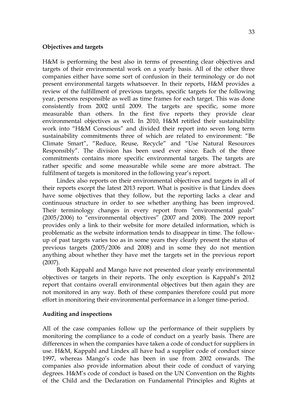#### Objectives and targets

H&M is performing the best also in terms of presenting clear objectives and targets of their environmental work on a yearly basis. All of the other three companies either have some sort of confusion in their terminology or do not present environmental targets whatsoever. In their reports, H&M provides a review of the fulfillment of previous targets, specific targets for the following year, persons responsible as well as time frames for each target. This was done consistently from 2002 until 2009. The targets are specific, some more measurable than others. In the first five reports they provide clear environmental objectives as well. In 2010, H&M retitled their sustainability work into "H&M Conscious" and divided their report into seven long term sustainability commitments three of which are related to environment: "Be Climate Smart", "Reduce, Reuse, Recycle" and "Use Natural Resources Responsibly". The division has been used ever since. Each of the three commitments contains more specific environmental targets. The targets are rather specific and some measurable while some are more abstract. The fulfilment of targets is monitored in the following year's report.

Lindex also reports on their environmental objectives and targets in all of their reports except the latest 2013 report. What is positive is that Lindex does have some objectives that they follow, but the reporting lacks a clear and continuous structure in order to see whether anything has been improved. Their terminology changes in every report from "environmental goals" (2005/2006) to "environmental objectives" (2007 and 2008). The 2009 report provides only a link to their website for more detailed information, which is problematic as the website information tends to disappear in time. The followup of past targets varies too as in some years they clearly present the status of previous targets (2005/2006 and 2008) and in some they do not mention anything about whether they have met the targets set in the previous report (2007).

Both Kappahl and Mango have not presented clear yearly environmental objectives or targets in their reports. The only exception is Kappahl's 2012 report that contains overall environmental objectives but then again they are not monitored in any way. Both of these companies therefore could put more effort in monitoring their environmental performance in a longer time-period.

#### Auditing and inspections

All of the case companies follow up the performance of their suppliers by monitoring the compliance to a code of conduct on a yearly basis. There are differences in when the companies have taken a code of conduct for suppliers in use. H&M, Kappahl and Lindex all have had a supplier code of conduct since 1997, whereas Mango's code has been in use from 2002 onwards. The companies also provide information about their code of conduct of varying degrees. H&M's code of conduct is based on the UN Convention on the Rights of the Child and the Declaration on Fundamental Principles and Rights at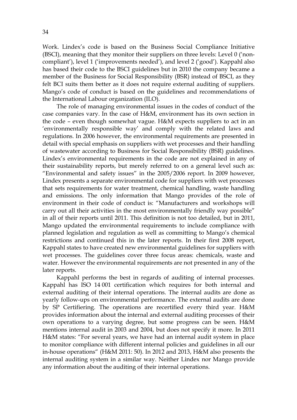Work. Lindex's code is based on the Business Social Compliance Initiative (BSCI), meaning that they monitor their suppliers on three levels: Level 0 ('noncompliant'), level 1 ('improvements needed'), and level 2 ('good'). Kappahl also has based their code to the BSCI guidelines but in 2010 the company became a member of the Business for Social Responsibility (BSR) instead of BSCI, as they felt BCI suits them better as it does not require external auditing of suppliers. Mango's code of conduct is based on the guidelines and recommendations of the International Labour organization (ILO).

The role of managing environmental issues in the codes of conduct of the case companies vary. In the case of H&M, environment has its own section in the code – even though somewhat vague. H&M expects suppliers to act in an 'environmentally responsible way' and comply with the related laws and regulations. In 2006 however, the environmental requirements are presented in detail with special emphasis on suppliers with wet processes and their handling of wastewater according to Business for Social Responsibility (BSR) guidelines. Lindex's environmental requirements in the code are not explained in any of their sustainability reports, but merely referred to on a general level such as: "Environmental and safety issues" in the 2005/2006 report. In 2009 however, Lindex presents a separate environmental code for suppliers with wet processes that sets requirements for water treatment, chemical handling, waste handling and emissions. The only information that Mango provides of the role of environment in their code of conduct is: "Manufacturers and workshops will carry out all their activities in the most environmentally friendly way possible" in all of their reports until 2011. This definition is not too detailed, but in 2011, Mango updated the environmental requirements to include compliance with planned legislation and regulation as well as committing to Mango's chemical restrictions and continued this in the later reports. In their first 2008 report, Kappahl states to have created new environmental guidelines for suppliers with wet processes. The guidelines cover three focus areas: chemicals, waste and water. However the environmental requirements are not presented in any of the later reports.

Kappahl performs the best in regards of auditing of internal processes. Kappahl has ISO 14 001 certification which requires for both internal and external auditing of their internal operations. The internal audits are done as yearly follow-ups on environmental performance. The external audits are done by SP Certifiering. The operations are recertified every third year. H&M provides information about the internal and external auditing processes of their own operations to a varying degree, but some progress can be seen. H&M mentions internal audit in 2003 and 2004, but does not specify it more. In 2011 H&M states: "For several years, we have had an internal audit system in place to monitor compliance with different internal policies and guidelines in all our in-house operations" (H&M 2011: 50). In 2012 and 2013, H&M also presents the internal auditing system in a similar way. Neither Lindex nor Mango provide any information about the auditing of their internal operations.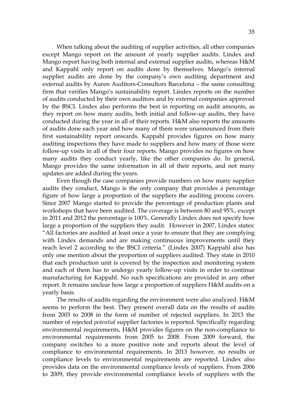When talking about the auditing of supplier activities, all other companies except Mango report on the amount of yearly supplier audits. Lindex and Mango report having both internal and external supplier audits, whereas H&M and Kappahl only report on audits done by themselves. Mango's internal supplier audits are done by the company's own auditing department and external audits by Auren Auditors-Consultors Barcelona – the same consulting firm that verifies Mango's sustainability report. Lindex reports on the number of audits conducted by their own auditors and by external companies approved by the BSCI. Lindex also performs the best in reporting on audit amounts, as they report on how many audits, both initial and follow-up audits, they have conducted during the year in all of their reports. H&M also reports the amounts of audits done each year and how many of them were unannounced from their first sustainability report onwards. Kappahl provides figures on how many auditing inspections they have made to suppliers and how many of those were follow-up visits in all of their four reports. Mango provides no figures on how many audits they conduct yearly, like the other companies do. In general, Mango provides the same information in all of their reports, and not many updates are added during the years.

Even though the case companies provide numbers on how many supplier audits they conduct, Mango is the only company that provides a percentage figure of how large a proportion of the suppliers the auditing process covers. Since 2007 Mango started to provide the percentage of production plants and workshops that have been audited. The coverage is between 80 and 95%, except in 2011 and 2012 the percentage is 100%. Generally Lindex does not specify how large a proportion of the suppliers they audit. However in 2007, Lindex states: "All factories are audited at least once a year to ensure that they are complying with Lindex demands and are making continuous improvements until they reach level 2 according to the BSCI criteria." (Lindex 2007) Kappahl also has only one mention about the proportion of suppliers audited. They state in 2010 that each production unit is covered by the inspection and monitoring system and each of them has to undergo yearly follow-up visits in order to continue manufacturing for Kappahl. No such specifications are provided in any other report. It remains unclear how large a proportion of suppliers H&M audits on a yearly basis.

The results of audits regarding the environment were also analyzed. H&M seems to perform the best. They present overall data on the results of audits from 2003 to 2008 in the form of number of rejected suppliers. In 2013 the number of rejected potential supplier factories is reported. Specifically regarding environmental requirements, H&M provides figures on the non-compliance to environmental requirements from 2005 to 2008. From 2009 forward, the company switches to a more positive note and reports about the level of compliance to environmental requirements. In 2013 however, no results or compliance levels to environmental requirements are reported. Lindex also provides data on the environmental compliance levels of suppliers. From 2006 to 2009, they provide environmental compliance levels of suppliers with the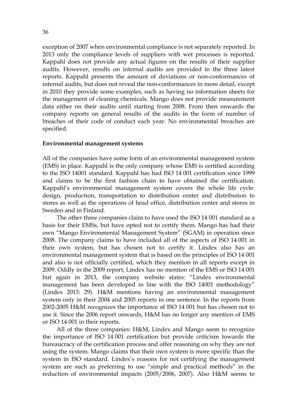exception of 2007 when environmental compliance is not separately reported. In 2013 only the compliance levels of suppliers with wet processes is reported. Kappahl does not provide any actual figures on the results of their supplier audits. However, results on internal audits are provided in the three latest reports. Kappahl presents the amount of deviations or non-conformances of internal audits, but does not reveal the non-conformances in more detail, except in 2010 they provide some examples, such as having no information sheets for the management of cleaning chemicals. Mango does not provide measurement data either on their audits until starting from 2008. From then onwards the company reports on general results of the audits in the form of number of breaches of their code of conduct each year. No environmental breaches are specified.

#### Environmental management systems

All of the companies have some form of an environmental management system (EMS) in place. Kappahl is the only company whose EMS is certified according to the ISO 14001 standard. Kappahl has had ISO 14 001 certification since 1999 and claims to be the first fashion chain to have obtained the certification. Kappahl's environmental management system covers the whole life cycle: design, production, transportation to distribution center and distribution to stores as well as the operations of head office, distribution center and stores in Sweden and in Finland.

The other three companies claim to have used the ISO 14 001 standard as a basis for their EMSs, but have opted not to certify them. Mango has had their own "Mango Environmental Management System" (SGAM) in operation since 2008. The company claims to have included all of the aspects of ISO 14 001 in their own system, but has chosen not to certify it. Lindex also has an environmental management system that is based on the principles of ISO 14 001 and also is not officially certified, which they mention in all reports except in 2009. Oddly in the 2009 report, Lindex has no mention of the EMS or ISO 14 001 but again in 2013, the company website states: "Lindex environmental management has been developed in line with the ISO 14001 methodology" (Lindex 2013: 29). H&M mentions having an environmental management system only in their 2004 and 2005 reports in one sentence. In the reports from 2002-2005 H&M recognizes the importance of ISO 14 001 but has chosen not to use it. Since the 2006 report onwards, H&M has no longer any mention of EMS or ISO 14 001 in their reports.

All of the three companies: H&M, Lindex and Mango seem to recognize the importance of ISO 14 001 certification but provide criticism towards the bureaucracy of the certification process and offer reasoning on why they are not using the system. Mango claims that their own system is more specific than the system in ISO standard. Lindex's reasons for not certifying the management system are such as preferring to use "simple and practical methods" in the reduction of environmental impacts (2005/2006, 2007). Also H&M seems to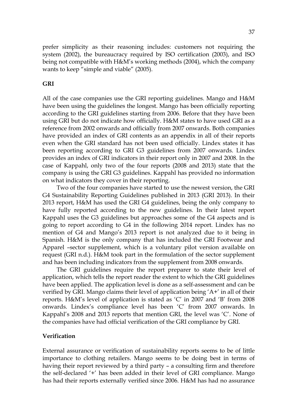prefer simplicity as their reasoning includes: customers not requiring the system (2002), the bureaucracy required by ISO certification (2003), and ISO being not compatible with H&M's working methods (2004), which the company wants to keep "simple and viable" (2005).

### GRI

All of the case companies use the GRI reporting guidelines. Mango and H&M have been using the guidelines the longest. Mango has been officially reporting according to the GRI guidelines starting from 2006. Before that they have been using GRI but do not indicate how officially. H&M states to have used GRI as a reference from 2002 onwards and officially from 2007 onwards. Both companies have provided an index of GRI contents as an appendix in all of their reports even when the GRI standard has not been used officially. Lindex states it has been reporting according to GRI G3 guidelines from 2007 onwards. Lindex provides an index of GRI indicators in their report only in 2007 and 2008. In the case of Kappahl, only two of the four reports (2008 and 2013) state that the company is using the GRI G3 guidelines. Kappahl has provided no information on what indicators they cover in their reporting.

Two of the four companies have started to use the newest version, the GRI G4 Sustainability Reporting Guidelines published in 2013 (GRI 2013). In their 2013 report, H&M has used the GRI G4 guidelines, being the only company to have fully reported according to the new guidelines. In their latest report Kappahl uses the G3 guidelines but approaches some of the G4 aspects and is going to report according to G4 in the following 2014 report. Lindex has no mention of G4 and Mango's 2013 report is not analyzed due to it being in Spanish. H&M is the only company that has included the GRI Footwear and Apparel –sector supplement, which is a voluntary pilot version available on request (GRI n.d.). H&M took part in the formulation of the sector supplement and has been including indicators from the supplement from 2008 onwards.

The GRI guidelines require the report preparer to state their level of application, which tells the report reader the extent to which the GRI guidelines have been applied. The application level is done as a self-assessment and can be verified by GRI. Mango claims their level of application being 'A+' in all of their reports. H&M's level of application is stated as 'C' in 2007 and 'B' from 2008 onwards. Lindex's compliance level has been 'C' from 2007 onwards. In Kappahl's 2008 and 2013 reports that mention GRI, the level was 'C'. None of the companies have had official verification of the GRI compliance by GRI.

#### Verification

External assurance or verification of sustainability reports seems to be of little importance to clothing retailers. Mango seems to be doing best in terms of having their report reviewed by a third party – a consulting firm and therefore the self-declared '+' has been added in their level of GRI compliance. Mango has had their reports externally verified since 2006. H&M has had no assurance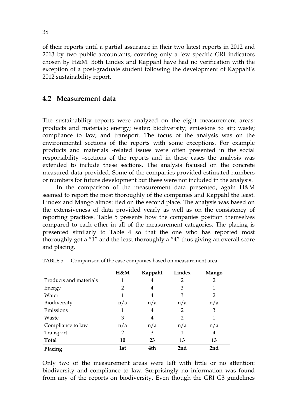of their reports until a partial assurance in their two latest reports in 2012 and 2013 by two public accountants, covering only a few specific GRI indicators chosen by H&M. Both Lindex and Kappahl have had no verification with the exception of a post-graduate student following the development of Kappahl's 2012 sustainability report.

## 4.2 Measurement data

The sustainability reports were analyzed on the eight measurement areas: products and materials; energy; water; biodiversity; emissions to air; waste; compliance to law; and transport. The focus of the analysis was on the environmental sections of the reports with some exceptions. For example products and materials -related issues were often presented in the social responsibility –sections of the reports and in these cases the analysis was extended to include these sections. The analysis focused on the concrete measured data provided. Some of the companies provided estimated numbers or numbers for future development but these were not included in the analysis.

In the comparison of the measurement data presented, again H&M seemed to report the most thoroughly of the companies and Kappahl the least. Lindex and Mango almost tied on the second place. The analysis was based on the extensiveness of data provided yearly as well as on the consistency of reporting practices. Table 5 presents how the companies position themselves compared to each other in all of the measurement categories. The placing is presented similarly to Table 4 so that the one who has reported most thoroughly got a "1" and the least thoroughly a "4" thus giving an overall score and placing.

|                        | H&M | Kappahl | Lindex | Mango          |
|------------------------|-----|---------|--------|----------------|
| Products and materials |     | 4       | 2      | $\overline{2}$ |
| Energy                 | 2   | 4       | 3      | 1              |
| Water                  |     | 4       | 3      | 2              |
| Biodiversity           | n/a | n/a     | n/a    | n/a            |
| Emissions              | 1   | 4       | 2      | 3              |
| Waste                  | 3   | 4       | 2      | 1              |
| Compliance to law      | n/a | n/a     | n/a    | n/a            |
| Transport              | 2   | 3       |        | 4              |
| <b>Total</b>           | 10  | 23      | 13     | 13             |
| Placing                | 1st | 4th     | 2nd    | 2nd            |

TABLE 5 Comparison of the case companies based on measurement area

Only two of the measurement areas were left with little or no attention: biodiversity and compliance to law. Surprisingly no information was found from any of the reports on biodiversity. Even though the GRI G3 guidelines

38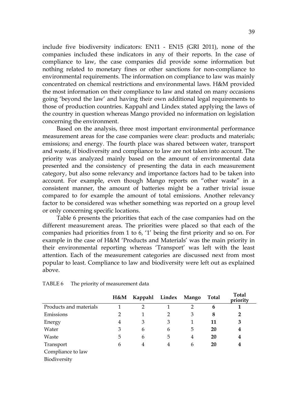include five biodiversity indicators: EN11 - EN15 (GRI 2011), none of the companies included these indicators in any of their reports. In the case of compliance to law, the case companies did provide some information but nothing related to monetary fines or other sanctions for non-compliance to environmental requirements. The information on compliance to law was mainly concentrated on chemical restrictions and environmental laws. H&M provided the most information on their compliance to law and stated on many occasions going 'beyond the law' and having their own additional legal requirements to those of production countries. Kappahl and Lindex stated applying the laws of the country in question whereas Mango provided no information on legislation concerning the environment.

Based on the analysis, three most important environmental performance measurement areas for the case companies were clear: products and materials; emissions; and energy. The fourth place was shared between water, transport and waste, if biodiversity and compliance to law are not taken into account. The priority was analyzed mainly based on the amount of environmental data presented and the consistency of presenting the data in each measurement category, but also some relevancy and importance factors had to be taken into account. For example, even though Mango reports on "other waste" in a consistent manner, the amount of batteries might be a rather trivial issue compared to for example the amount of total emissions. Another relevancy factor to be considered was whether something was reported on a group level or only concerning specific locations.

Table 6 presents the priorities that each of the case companies had on the different measurement areas. The priorities were placed so that each of the companies had priorities from 1 to 6, '1' being the first priority and so on. For example in the case of H&M 'Products and Materials' was the main priority in their environmental reporting whereas 'Transport' was left with the least attention. Each of the measurement categories are discussed next from most popular to least. Compliance to law and biodiversity were left out as explained above.

|                        | H&M | Kappahl Lindex Mango |   |                | <b>Total</b> | <b>Total</b><br>priority |
|------------------------|-----|----------------------|---|----------------|--------------|--------------------------|
| Products and materials |     | $\overline{2}$       |   | $\overline{2}$ | 6            |                          |
| Emissions              | 2   |                      | 2 | 3              | 8            | $\mathbf{2}$             |
| Energy                 | 4   | 3                    | 3 | 1              | 11           | 3                        |
| Water                  | 3   | 6                    | 6 | 5              | 20           | 4                        |
| Waste                  | 5   | 6                    | 5 | 4              | 20           | 4                        |
| Transport              | 6   | 4                    | 4 | 6              | 20           | 4                        |
| Compliance to law      |     |                      |   |                |              |                          |
| Biodiversity           |     |                      |   |                |              |                          |

| TABLE 6 | The priority of measurement data |
|---------|----------------------------------|
|---------|----------------------------------|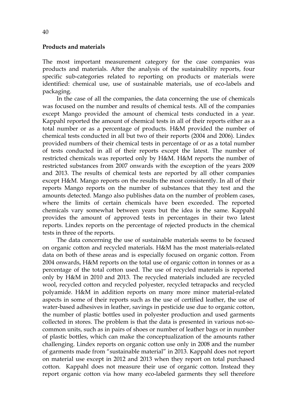#### Products and materials

The most important measurement category for the case companies was products and materials. After the analysis of the sustainability reports, four specific sub-categories related to reporting on products or materials were identified: chemical use, use of sustainable materials, use of eco-labels and packaging.

In the case of all the companies, the data concerning the use of chemicals was focused on the number and results of chemical tests. All of the companies except Mango provided the amount of chemical tests conducted in a year. Kappahl reported the amount of chemical tests in all of their reports either as a total number or as a percentage of products. H&M provided the number of chemical tests conducted in all but two of their reports (2004 and 2006). Lindex provided numbers of their chemical tests in percentage of or as a total number of tests conducted in all of their reports except the latest. The number of restricted chemicals was reported only by H&M. H&M reports the number of restricted substances from 2007 onwards with the exception of the years 2009 and 2013. The results of chemical tests are reported by all other companies except H&M. Mango reports on the results the most consistently. In all of their reports Mango reports on the number of substances that they test and the amounts detected. Mango also publishes data on the number of problem cases, where the limits of certain chemicals have been exceeded. The reported chemicals vary somewhat between years but the idea is the same. Kappahl provides the amount of approved tests in percentages in their two latest reports. Lindex reports on the percentage of rejected products in the chemical tests in three of the reports.

The data concerning the use of sustainable materials seems to be focused on organic cotton and recycled materials. H&M has the most materials-related data on both of these areas and is especially focused on organic cotton. From 2004 onwards, H&M reports on the total use of organic cotton in tonnes or as a percentage of the total cotton used. The use of recycled materials is reported only by H&M in 2010 and 2013. The recycled materials included are recycled wool, recycled cotton and recycled polyester, recycled tetrapacks and recycled polyamide. H&M in addition reports on many more minor material-related aspects in some of their reports such as the use of certified leather, the use of water-based adhesives in leather, savings in pesticide use due to organic cotton, the number of plastic bottles used in polyester production and used garments collected in stores. The problem is that the data is presented in various not-socommon units, such as in pairs of shoes or number of leather bags or in number of plastic bottles, which can make the conceptualization of the amounts rather challenging. Lindex reports on organic cotton use only in 2008 and the number of garments made from "sustainable material" in 2013. Kappahl does not report on material use except in 2012 and 2013 when they report on total purchased cotton. Kappahl does not measure their use of organic cotton. Instead they report organic cotton via how many eco-labeled garments they sell therefore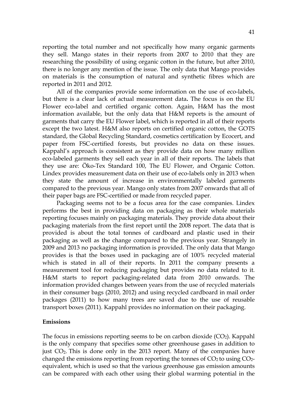reporting the total number and not specifically how many organic garments they sell. Mango states in their reports from 2007 to 2010 that they are researching the possibility of using organic cotton in the future, but after 2010, there is no longer any mention of the issue. The only data that Mango provides on materials is the consumption of natural and synthetic fibres which are reported in 2011 and 2012.

All of the companies provide some information on the use of eco-labels, but there is a clear lack of actual measurement data. The focus is on the EU Flower eco-label and certified organic cotton. Again, H&M has the most information available, but the only data that H&M reports is the amount of garments that carry the EU Flower label, which is reported in all of their reports except the two latest. H&M also reports on certified organic cotton, the GOTS standard, the Global Recycling Standard, cosmetics certification by Ecocert, and paper from FSC-certified forests, but provides no data on these issues. Kappahl's approach is consistent as they provide data on how many million eco-labeled garments they sell each year in all of their reports. The labels that they use are: Öko-Tex Standard 100, The EU Flower, and Organic Cotton. Lindex provides measurement data on their use of eco-labels only in 2013 when they state the amount of increase in environmentally labeled garments compared to the previous year. Mango only states from 2007 onwards that all of their paper bags are FSC-certified or made from recycled paper.

Packaging seems not to be a focus area for the case companies. Lindex performs the best in providing data on packaging as their whole materials reporting focuses mainly on packaging materials. They provide data about their packaging materials from the first report until the 2008 report. The data that is provided is about the total tonnes of cardboard and plastic used in their packaging as well as the change compared to the previous year. Strangely in 2009 and 2013 no packaging information is provided. The only data that Mango provides is that the boxes used in packaging are of 100% recycled material which is stated in all of their reports. In 2011 the company presents a measurement tool for reducing packaging but provides no data related to it. H&M starts to report packaging-related data from 2010 onwards. The information provided changes between years from the use of recycled materials in their consumer bags (2010, 2012) and using recycled cardboard in mail order packages (2011) to how many trees are saved due to the use of reusable transport boxes (2011). Kappahl provides no information on their packaging.

#### Emissions

The focus in emissions reporting seems to be on carbon dioxide  $(CO<sub>2</sub>)$ . Kappahl is the only company that specifies some other greenhouse gases in addition to just CO2. This is done only in the 2013 report. Many of the companies have changed the emissions reporting from reporting the tonnes of  $CO<sub>2</sub>$  to using  $CO<sub>2</sub>$ equivalent, which is used so that the various greenhouse gas emission amounts can be compared with each other using their global warming potential in the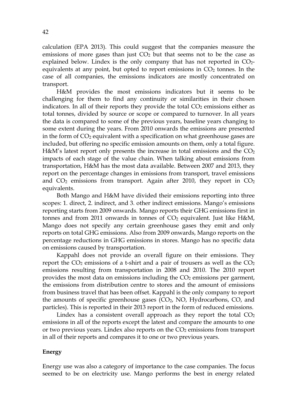calculation (EPA 2013). This could suggest that the companies measure the emissions of more gases than just  $CO<sub>2</sub>$  but that seems not to be the case as explained below. Lindex is the only company that has not reported in  $CO<sub>2</sub>$ equivalents at any point, but opted to report emissions in  $CO<sub>2</sub>$  tonnes. In the case of all companies, the emissions indicators are mostly concentrated on transport.

H&M provides the most emissions indicators but it seems to be challenging for them to find any continuity or similarities in their chosen indicators. In all of their reports they provide the total  $CO<sub>2</sub>$  emissions either as total tonnes, divided by source or scope or compared to turnover. In all years the data is compared to some of the previous years, baseline years changing to some extent during the years. From 2010 onwards the emissions are presented in the form of CO<sub>2</sub> equivalent with a specification on what greenhouse gases are included, but offering no specific emission amounts on them, only a total figure. H&M's latest report only presents the increase in total emissions and the  $CO<sub>2</sub>$ impacts of each stage of the value chain. When talking about emissions from transportation, H&M has the most data available. Between 2007 and 2013, they report on the percentage changes in emissions from transport, travel emissions and  $CO<sub>2</sub>$  emissions from transport. Again after 2010, they report in  $CO<sub>2</sub>$ equivalents.

Both Mango and H&M have divided their emissions reporting into three scopes: 1. direct, 2. indirect, and 3. other indirect emissions. Mango's emissions reporting starts from 2009 onwards. Mango reports their GHG emissions first in tonnes and from 2011 onwards in tonnes of  $CO<sub>2</sub>$  equivalent. Just like H&M, Mango does not specify any certain greenhouse gases they emit and only reports on total GHG emissions. Also from 2009 onwards, Mango reports on the percentage reductions in GHG emissions in stores. Mango has no specific data on emissions caused by transportation.

Kappahl does not provide an overall figure on their emissions. They report the  $CO<sub>2</sub>$  emissions of a t-shirt and a pair of trousers as well as the  $CO<sub>2</sub>$ emissions resulting from transportation in 2008 and 2010. The 2010 report provides the most data on emissions including the  $CO<sub>2</sub>$  emissions per garment, the emissions from distribution centre to stores and the amount of emissions from business travel that has been offset. Kappahl is the only company to report the amounts of specific greenhouse gases (CO2, NO, Hydrocarbons, CO, and particles). This is reported in their 2013 report in the form of reduced emissions.

Lindex has a consistent overall approach as they report the total  $CO<sub>2</sub>$ emissions in all of the reports except the latest and compare the amounts to one or two previous years. Lindex also reports on the  $CO<sub>2</sub>$  emissions from transport in all of their reports and compares it to one or two previous years.

#### Energy

Energy use was also a category of importance to the case companies. The focus seemed to be on electricity use. Mango performs the best in energy related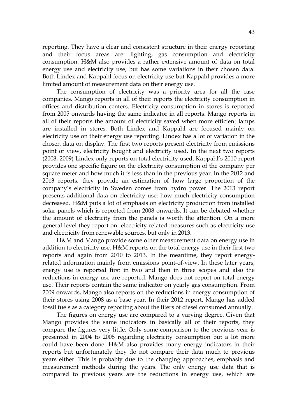reporting. They have a clear and consistent structure in their energy reporting and their focus areas are: lighting, gas consumption and electricity consumption. H&M also provides a rather extensive amount of data on total energy use and electricity use, but has some variations in their chosen data. Both Lindex and Kappahl focus on electricity use but Kappahl provides a more limited amount of measurement data on their energy use.

The consumption of electricity was a priority area for all the case companies. Mango reports in all of their reports the electricity consumption in offices and distribution centers. Electricity consumption in stores is reported from 2005 onwards having the same indicator in all reports. Mango reports in all of their reports the amount of electricity saved when more efficient lamps are installed in stores. Both Lindex and Kappahl are focused mainly on electricity use on their energy use reporting. Lindex has a lot of variation in the chosen data on display. The first two reports present electricity from emissions point of view, electricity bought and electricity used. In the next two reports (2008, 2009) Lindex only reports on total electricity used. Kappahl's 2010 report provides one specific figure on the electricity consumption of the company per square meter and how much it is less than in the previous year. In the 2012 and 2013 reports, they provide an estimation of how large proportion of the company's electricity in Sweden comes from hydro power. The 2013 report presents additional data on electricity use: how much electricity consumption decreased. H&M puts a lot of emphasis on electricity production from installed solar panels which is reported from 2008 onwards. It can be debated whether the amount of electricity from the panels is worth the attention. On a more general level they report on electricity-related measures such as electricity use and electricity from renewable sources, but only in 2013.

H&M and Mango provide some other measurement data on energy use in addition to electricity use. H&M reports on the total energy use in their first two reports and again from 2010 to 2013. In the meantime, they report energyrelated information mainly from emissions point-of-view. In these later years, energy use is reported first in two and then in three scopes and also the reductions in energy use are reported. Mango does not report on total energy use. Their reports contain the same indicator on yearly gas consumption. From 2009 onwards, Mango also reports on the reductions in energy consumption of their stores using 2008 as a base year. In their 2012 report, Mango has added fossil fuels as a category reporting about the liters of diesel consumed annually.

The figures on energy use are compared to a varying degree. Given that Mango provides the same indicators in basically all of their reports, they compare the figures very little. Only some comparison to the previous year is presented in 2004 to 2008 regarding electricity consumption but a lot more could have been done. H&M also provides many energy indicators in their reports but unfortunately they do not compare their data much to previous years either. This is probably due to the changing approaches, emphasis and measurement methods during the years. The only energy use data that is compared to previous years are the reductions in energy use, which are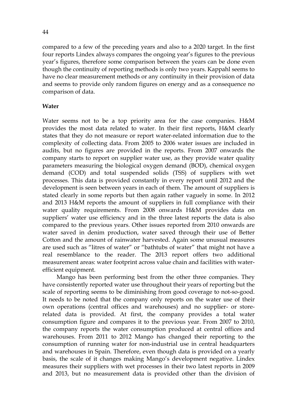compared to a few of the preceding years and also to a 2020 target. In the first four reports Lindex always compares the ongoing year's figures to the previous year's figures, therefore some comparison between the years can be done even though the continuity of reporting methods is only two years. Kappahl seems to have no clear measurement methods or any continuity in their provision of data and seems to provide only random figures on energy and as a consequence no comparison of data.

### Water

Water seems not to be a top priority area for the case companies. H&M provides the most data related to water. In their first reports, H&M clearly states that they do not measure or report water-related information due to the complexity of collecting data. From 2005 to 2006 water issues are included in audits, but no figures are provided in the reports. From 2007 onwards the company starts to report on supplier water use, as they provide water quality parameters measuring the biological oxygen demand (BOD), chemical oxygen demand (COD) and total suspended solids (TSS) of suppliers with wet processes. This data is provided constantly in every report until 2012 and the development is seen between years in each of them. The amount of suppliers is stated clearly in some reports but then again rather vaguely in some. In 2012 and 2013 H&M reports the amount of suppliers in full compliance with their water quality requirements. From 2008 onwards H&M provides data on suppliers' water use efficiency and in the three latest reports the data is also compared to the previous years. Other issues reported from 2010 onwards are water saved in denim production, water saved through their use of Better Cotton and the amount of rainwater harvested. Again some unusual measures are used such as "litres of water" or "bathtubs of water" that might not have a real resemblance to the reader. The 2013 report offers two additional measurement areas: water footprint across value chain and facilities with waterefficient equipment.

Mango has been performing best from the other three companies. They have consistently reported water use throughout their years of reporting but the scale of reporting seems to be diminishing from good coverage to not-so-good. It needs to be noted that the company only reports on the water use of their own operations (central offices and warehouses) and no supplier- or storerelated data is provided. At first, the company provides a total water consumption figure and compares it to the previous year. From 2007 to 2010, the company reports the water consumption produced at central offices and warehouses. From 2011 to 2012 Mango has changed their reporting to the consumption of running water for non-industrial use in central headquarters and warehouses in Spain. Therefore, even though data is provided on a yearly basis, the scale of it changes making Mango's development negative. Lindex measures their suppliers with wet processes in their two latest reports in 2009 and 2013, but no measurement data is provided other than the division of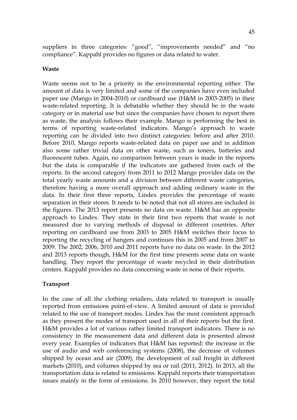suppliers in three categories: "good", "improvements needed" and "no compliance". Kappahl provides no figures or data related to water.

### Waste

Waste seems not to be a priority in the environmental reporting either. The amount of data is very limited and some of the companies have even included paper use (Mango in 2004-2010) or cardboard use (H&M in 2003-2005) in their waste-related reporting. It is debatable whether they should be in the waste category or in material use but since the companies have chosen to report them as waste, the analysis follows their example. Mango is performing the best in terms of reporting waste-related indicators. Mango's approach to waste reporting can be divided into two distinct categories: before and after 2010. Before 2010, Mango reports waste-related data on paper use and in addition also some rather trivial data on other waste, such as toners, batteries and fluorescent tubes. Again, no comparison between years is made in the reports but the data is comparable if the indicators are gathered from each of the reports. In the second category from 2011 to 2012 Mango provides data on the total yearly waste amounts and a division between different waste categories, therefore having a more overall approach and adding ordinary waste in the data. In their first three reports, Lindex provides the percentage of waste separation in their stores. It needs to be noted that not all stores are included in the figures. The 2013 report presents no data on waste. H&M has an opposite approach to Lindex. They state in their first two reports that waste is not measured due to varying methods of disposal in different countries. After reporting on cardboard use from 2003 to 2005 H&M switches their focus to reporting the recycling of hangers and continues this in 2005 and from 2007 to 2009. The 2002, 2006, 2010 and 2011 reports have no data on waste. In the 2012 and 2013 reports though, H&M for the first time presents some data on waste handling. They report the percentage of waste recycled in their distribution centers. Kappahl provides no data concerning waste in none of their reports.

### Transport

In the case of all the clothing retailers, data related to transport is usually reported from emissions point-of-view. A limited amount of data is provided related to the use of transport modes. Lindex has the most consistent approach as they present the modes of transport used in all of their reports but the first. H&M provides a lot of various rather limited transport indicators. There is no consistency in the measurement data and different data is presented almost every year. Examples of indicators that H&M has reported: the increase in the use of audio and web conferencing systems (2008), the decrease of volumes shipped by ocean and air (2009), the development of rail freight in different markets (2010), and volumes shipped by sea or rail (2011, 2012). In 2013, all the transportation data is related to emissions. Kappahl reports their transportation issues mainly in the form of emissions. In 2010 however, they report the total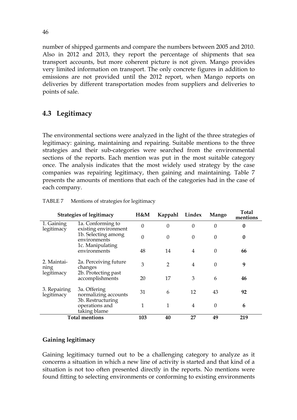number of shipped garments and compare the numbers between 2005 and 2010. Also in 2012 and 2013, they report the percentage of shipments that sea transport accounts, but more coherent picture is not given. Mango provides very limited information on transport. The only concrete figures in addition to emissions are not provided until the 2012 report, when Mango reports on deliveries by different transportation modes from suppliers and deliveries to points of sale.

# 4.3 Legitimacy

The environmental sections were analyzed in the light of the three strategies of legitimacy: gaining, maintaining and repairing. Suitable mentions to the three strategies and their sub-categories were searched from the environmental sections of the reports. Each mention was put in the most suitable category once. The analysis indicates that the most widely used strategy by the case companies was repairing legitimacy, then gaining and maintaining. Table 7 presents the amounts of mentions that each of the categories had in the case of each company.

|                            | <b>Strategies of legitimacy</b>                           | H&M              | Kappahl  | Lindex   | Mango    | <b>Total</b><br>mentions |
|----------------------------|-----------------------------------------------------------|------------------|----------|----------|----------|--------------------------|
| 1. Gaining<br>legitimacy   | 1a. Conforming to<br>existing environment                 | $\boldsymbol{0}$ | $\theta$ | 0        | 0        | $\boldsymbol{0}$         |
|                            | 1b. Selecting among<br>environments                       | 0                | $\Omega$ | $\Omega$ | $\Omega$ | $\boldsymbol{0}$         |
|                            | 1c. Manipulating<br>environments                          | 48               | 14       | 4        | $\Omega$ | 66                       |
| 2. Maintai-<br>ning        | 2a. Perceiving future<br>changes                          | 3                | 2        | 4        | 0        | 9                        |
| legitimacy                 | 2b. Protecting past<br>accomplishments                    | 20               | 17       | 3        | 6        | 46                       |
| 3. Repairing<br>legitimacy | 3a. Offering<br>normalizing accounts<br>3b. Restructuring | 31               | 6        | 12       | 43       | 92                       |
|                            | operations and<br>taking blame                            | 1                | 1        | 4        | $\Omega$ | 6                        |
|                            | <b>Total mentions</b>                                     | 103              | 40       | 27       | 49       | 219                      |

| TABLE 7 |  |                                       |
|---------|--|---------------------------------------|
|         |  | Mentions of strategies for legitimacy |

## Gaining legitimacy

Gaining legitimacy turned out to be a challenging category to analyze as it concerns a situation in which a new line of activity is started and that kind of a situation is not too often presented directly in the reports. No mentions were found fitting to selecting environments or conforming to existing environments

46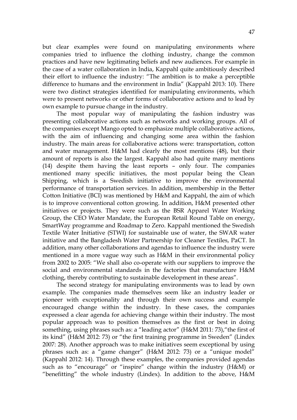but clear examples were found on manipulating environments where companies tried to influence the clothing industry, change the common practices and have new legitimating beliefs and new audiences. For example in the case of a water collaboration in India, Kappahl quite ambitiously described their effort to influence the industry: "The ambition is to make a perceptible difference to humans and the environment in India" (Kappahl 2013: 10). There were two distinct strategies identified for manipulating environments, which were to present networks or other forms of collaborative actions and to lead by own example to pursue change in the industry.

The most popular way of manipulating the fashion industry was presenting collaborative actions such as networks and working groups. All of the companies except Mango opted to emphasize multiple collaborative actions, with the aim of influencing and changing some area within the fashion industry. The main areas for collaborative actions were: transportation, cotton and water management. H&M had clearly the most mentions (48), but their amount of reports is also the largest. Kappahl also had quite many mentions (14) despite them having the least reports – only four. The companies mentioned many specific initiatives, the most popular being the Clean Shipping, which is a Swedish initiative to improve the environmental performance of transportation services. In addition, membership in the Better Cotton Initiative (BCI) was mentioned by H&M and Kappahl, the aim of which is to improve conventional cotton growing. In addition, H&M presented other initiatives or projects. They were such as the BSR Apparel Water Working Group, the CEO Water Mandate, the European Retail Round Table on energy, SmartWay programme and Roadmap to Zero. Kappahl mentioned the Swedish Textile Water Initiative (STWI) for sustainable use of water, the SWAR water initiative and the Bangladesh Water Partnership for Cleaner Textiles, PaCT. In addition, many other collaborations and agendas to influence the industry were mentioned in a more vague way such as H&M in their environmental policy from 2002 to 2005: "We shall also co-operate with our suppliers to improve the social and environmental standards in the factories that manufacture H&M clothing, thereby contributing to sustainable development in these areas".

The second strategy for manipulating environments was to lead by own example. The companies made themselves seem like an industry leader or pioneer with exceptionality and through their own success and example encouraged change within the industry. In these cases, the companies expressed a clear agenda for achieving change within their industry. The most popular approach was to position themselves as the first or best in doing something, using phrases such as: a "leading actor" (H&M 2011: 73),"the first of its kind" (H&M 2012: 73) or "the first training programme in Sweden" (Lindex 2007: 28). Another approach was to make initiatives seem exceptional by using phrases such as: a "game changer" (H&M 2012: 73) or a "unique model" (Kappahl 2012: 14). Through these examples, the companies provided agendas such as to "encourage" or "inspire" change within the industry (H&M) or "benefitting" the whole industry (Lindex). In addition to the above, H&M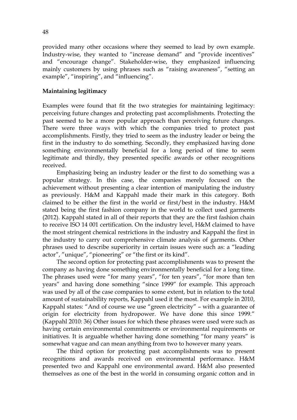provided many other occasions where they seemed to lead by own example. Industry-wise, they wanted to "increase demand" and "provide incentives" and "encourage change". Stakeholder-wise, they emphasized influencing mainly customers by using phrases such as "raising awareness", "setting an example", "inspiring", and "influencing".

### Maintaining legitimacy

Examples were found that fit the two strategies for maintaining legitimacy: perceiving future changes and protecting past accomplishments. Protecting the past seemed to be a more popular approach than perceiving future changes. There were three ways with which the companies tried to protect past accomplishments. Firstly, they tried to seem as the industry leader or being the first in the industry to do something. Secondly, they emphasized having done something environmentally beneficial for a long period of time to seem legitimate and thirdly, they presented specific awards or other recognitions received.

Emphasizing being an industry leader or the first to do something was a popular strategy. In this case, the companies merely focused on the achievement without presenting a clear intention of manipulating the industry as previously. H&M and Kappahl made their mark in this category. Both claimed to be either the first in the world or first/best in the industry. H&M stated being the first fashion company in the world to collect used garments (2012). Kappahl stated in all of their reports that they are the first fashion chain to receive ISO 14 001 certification. On the industry level, H&M claimed to have the most stringent chemical restrictions in the industry and Kappahl the first in the industry to carry out comprehensive climate analysis of garments. Other phrases used to describe superiority in certain issues were such as: a "leading actor", "unique", "pioneering" or "the first or its kind".

The second option for protecting past accomplishments was to present the company as having done something environmentally beneficial for a long time. The phrases used were "for many years", "for ten years", "for more than ten years" and having done something "since 1999" for example. This approach was used by all of the case companies to some extent, but in relation to the total amount of sustainability reports, Kappahl used it the most. For example in 2010, Kappahl states: "And of course we use "green electricity" – with a guarantee of origin for electricity from hydropower. We have done this since 1999." (Kappahl 2010: 36) Other issues for which these phrases were used were such as having certain environmental commitments or environmental requirements or initiatives. It is arguable whether having done something "for many years" is somewhat vague and can mean anything from two to however many years.

The third option for protecting past accomplishments was to present recognitions and awards received on environmental performance. H&M presented two and Kappahl one environmental award. H&M also presented themselves as one of the best in the world in consuming organic cotton and in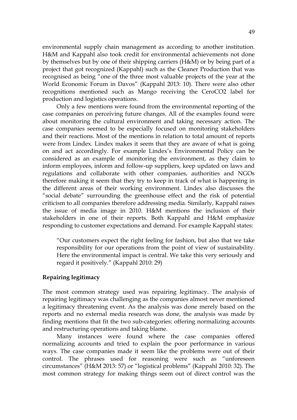environmental supply chain management as according to another institution. H&M and Kappahl also took credit for environmental achievements not done by themselves but by one of their shipping carriers (H&M) or by being part of a project that got recognized (Kappahl) such as the Cleaner Production that was recognised as being "one of the three most valuable projects of the year at the World Economic Forum in Davos" (Kappahl 2013: 10). There were also other recognitions mentioned such as Mango receiving the CeroCO2 label for production and logistics operations.

Only a few mentions were found from the environmental reporting of the case companies on perceiving future changes. All of the examples found were about monitoring the cultural environment and taking necessary action. The case companies seemed to be especially focused on monitoring stakeholders and their reactions. Most of the mentions in relation to total amount of reports were from Lindex. Lindex makes it seem that they are aware of what is going on and act accordingly. For example Lindex's Environmental Policy can be considered as an example of monitoring the environment, as they claim to inform employees, inform and follow-up suppliers, keep updated on laws and regulations and collaborate with other companies, authorities and NGOs therefore making it seem that they try to keep in track of what is happening in the different areas of their working environment. Lindex also discusses the "social debate" surrounding the greenhouse effect and the risk of potential criticism to all companies therefore addressing media. Similarly, Kappahl raises the issue of media image in 2010. H&M mentions the inclusion of their stakeholders in one of their reports. Both Kappahl and H&M emphasize responding to customer expectations and demand. For example Kappahl states:

"Our customers expect the right feeling for fashion, but also that we take responsibility for our operations from the point of view of sustainability. Here the environmental impact is central. We take this very seriously and regard it positively." (Kappahl 2010: 29)

#### Repairing legitimacy

The most common strategy used was repairing legitimacy. The analysis of repairing legitimacy was challenging as the companies almost never mentioned a legitimacy threatening event. As the analysis was done merely based on the reports and no external media research was done, the analysis was made by finding mentions that fit the two sub-categories: offering normalizing accounts and restructuring operations and taking blame.

Many instances were found where the case companies offered normalizing accounts and tried to explain the poor performance in various ways. The case companies made it seem like the problems were out of their control. The phrases used for reasoning were such as "unforeseen circumstances" (H&M 2013: 57) or "logistical problems" (Kappahl 2010: 32). The most common strategy for making things seem out of direct control was the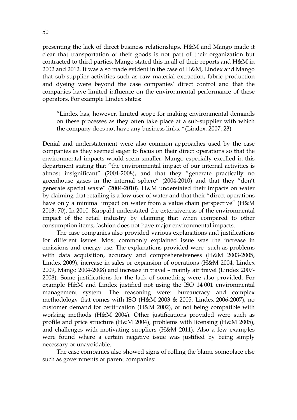presenting the lack of direct business relationships. H&M and Mango made it clear that transportation of their goods is not part of their organization but contracted to third parties. Mango stated this in all of their reports and H&M in 2002 and 2012. It was also made evident in the case of H&M, Lindex and Mango that sub-supplier activities such as raw material extraction, fabric production and dyeing were beyond the case companies' direct control and that the companies have limited influence on the environmental performance of these operators. For example Lindex states:

"Lindex has, however, limited scope for making environmental demands on these processes as they often take place at a sub-supplier with which the company does not have any business links. "(Lindex, 2007: 23)

Denial and understatement were also common approaches used by the case companies as they seemed eager to focus on their direct operations so that the environmental impacts would seem smaller. Mango especially excelled in this department stating that "the environmental impact of our internal activities is almost insignificant" (2004-2008), and that they "generate practically no greenhouse gases in the internal sphere" (2004-2010) and that they "don't generate special waste" (2004-2010). H&M understated their impacts on water by claiming that retailing is a low user of water and that their "direct operations have only a minimal impact on water from a value chain perspective" (H&M 2013: 70). In 2010, Kappahl understated the extensiveness of the environmental impact of the retail industry by claiming that when compared to other consumption items, fashion does not have major environmental impacts.

The case companies also provided various explanations and justifications for different issues. Most commonly explained issue was the increase in emissions and energy use. The explanations provided were such as problems with data acquisition, accuracy and comprehensiveness (H&M 2003-2005, Lindex 2009), increase in sales or expansion of operations (H&M 2004, Lindex 2009, Mango 2004-2008) and increase in travel – mainly air travel (Lindex 2007- 2008). Some justifications for the lack of something were also provided. For example H&M and Lindex justified not using the ISO 14 001 environmental management system. The reasoning were: bureaucracy and complex methodology that comes with ISO (H&M 2003 & 2005, Lindex 2006-2007), no customer demand for certification (H&M 2002), or not being compatible with working methods (H&M 2004). Other justifications provided were such as profile and price structure (H&M 2004), problems with licensing (H&M 2005), and challenges with motivating suppliers (H&M 2011). Also a few examples were found where a certain negative issue was justified by being simply necessary or unavoidable.

The case companies also showed signs of rolling the blame someplace else such as governments or parent companies: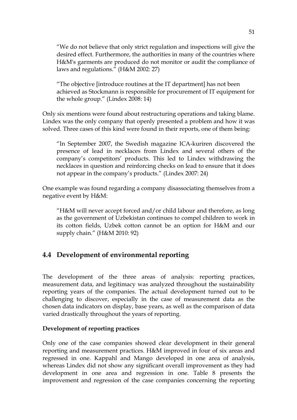"We do not believe that only strict regulation and inspections will give the desired effect. Furthermore, the authorities in many of the countries where H&M's garments are produced do not monitor or audit the compliance of laws and regulations." (H&M 2002: 27)

"The objective [introduce routines at the IT department] has not been achieved as Stockmann is responsible for procurement of IT equipment for the whole group." (Lindex 2008: 14)

Only six mentions were found about restructuring operations and taking blame. Lindex was the only company that openly presented a problem and how it was solved. Three cases of this kind were found in their reports, one of them being:

"In September 2007, the Swedish magazine ICA-kuriren discovered the presence of lead in necklaces from Lindex and several others of the company's competitors' products. This led to Lindex withdrawing the necklaces in question and reinforcing checks on lead to ensure that it does not appear in the company's products." (Lindex 2007: 24)

One example was found regarding a company disassociating themselves from a negative event by H&M:

"H&M will never accept forced and/or child labour and therefore, as long as the government of Uzbekistan continues to compel children to work in its cotton fields, Uzbek cotton cannot be an option for H&M and our supply chain." (H&M 2010: 92)

# 4.4 Development of environmental reporting

The development of the three areas of analysis: reporting practices, measurement data, and legitimacy was analyzed throughout the sustainability reporting years of the companies. The actual development turned out to be challenging to discover, especially in the case of measurement data as the chosen data indicators on display, base years, as well as the comparison of data varied drastically throughout the years of reporting.

## Development of reporting practices

Only one of the case companies showed clear development in their general reporting and measurement practices. H&M improved in four of six areas and regressed in one. Kappahl and Mango developed in one area of analysis, whereas Lindex did not show any significant overall improvement as they had development in one area and regression in one. Table 8 presents the improvement and regression of the case companies concerning the reporting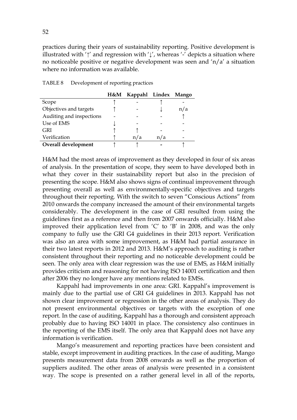practices during their years of sustainability reporting. Positive development is illustrated with ' $\uparrow$ ' and regression with ' $\downarrow$ ', whereas '-' depicts a situation where no noticeable positive or negative development was seen and 'n/a' a situation where no information was available.

|                          | H&M Kappahl Lindex Mango |     |  |
|--------------------------|--------------------------|-----|--|
| Scope                    |                          |     |  |
| Objectives and targets   |                          |     |  |
| Auditing and inspections |                          |     |  |
| Use of EMS               |                          |     |  |
| <b>GRI</b>               |                          |     |  |
| Verification             | n/a                      | n/a |  |
| Overall development      |                          |     |  |

TABLE 8 Development of reporting practices

H&M had the most areas of improvement as they developed in four of six areas of analysis. In the presentation of scope, they seem to have developed both in what they cover in their sustainability report but also in the precision of presenting the scope. H&M also shows signs of continual improvement through presenting overall as well as environmentally-specific objectives and targets throughout their reporting. With the switch to seven "Conscious Actions" from 2010 onwards the company increased the amount of their environmental targets considerably. The development in the case of GRI resulted from using the guidelines first as a reference and then from 2007 onwards officially. H&M also improved their application level from 'C' to 'B' in 2008, and was the only company to fully use the GRI G4 guidelines in their 2013 report. Verification was also an area with some improvement, as H&M had partial assurance in their two latest reports in 2012 and 2013. H&M's approach to auditing is rather consistent throughout their reporting and no noticeable development could be seen. The only area with clear regression was the use of EMS, as H&M initially provides criticism and reasoning for not having ISO 14001 certification and then after 2006 they no longer have any mentions related to EMSs.

Kappahl had improvements in one area: GRI. Kappahl's improvement is mainly due to the partial use of GRI G4 guidelines in 2013. Kappahl has not shown clear improvement or regression in the other areas of analysis. They do not present environmental objectives or targets with the exception of one report. In the case of auditing, Kappahl has a thorough and consistent approach probably due to having ISO 14001 in place. The consistency also continues in the reporting of the EMS itself. The only area that Kappahl does not have any information is verification.

Mango's measurement and reporting practices have been consistent and stable, except improvement in auditing practices. In the case of auditing, Mango presents measurement data from 2008 onwards as well as the proportion of suppliers audited. The other areas of analysis were presented in a consistent way. The scope is presented on a rather general level in all of the reports,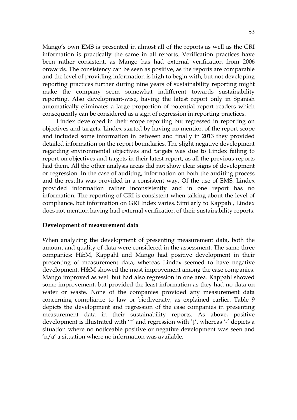Mango's own EMS is presented in almost all of the reports as well as the GRI information is practically the same in all reports. Verification practices have been rather consistent, as Mango has had external verification from 2006 onwards. The consistency can be seen as positive, as the reports are comparable and the level of providing information is high to begin with, but not developing reporting practices further during nine years of sustainability reporting might make the company seem somewhat indifferent towards sustainability reporting. Also development-wise, having the latest report only in Spanish automatically eliminates a large proportion of potential report readers which consequently can be considered as a sign of regression in reporting practices.

Lindex developed in their scope reporting but regressed in reporting on objectives and targets. Lindex started by having no mention of the report scope and included some information in between and finally in 2013 they provided detailed information on the report boundaries. The slight negative development regarding environmental objectives and targets was due to Lindex failing to report on objectives and targets in their latest report, as all the previous reports had them. All the other analysis areas did not show clear signs of development or regression. In the case of auditing, information on both the auditing process and the results was provided in a consistent way. Of the use of EMS, Lindex provided information rather inconsistently and in one report has no information. The reporting of GRI is consistent when talking about the level of compliance, but information on GRI Index varies. Similarly to Kappahl, Lindex does not mention having had external verification of their sustainability reports.

### Development of measurement data

When analyzing the development of presenting measurement data, both the amount and quality of data were considered in the assessment. The same three companies: H&M, Kappahl and Mango had positive development in their presenting of measurement data, whereas Lindex seemed to have negative development. H&M showed the most improvement among the case companies. Mango improved as well but had also regression in one area. Kappahl showed some improvement, but provided the least information as they had no data on water or waste. None of the companies provided any measurement data concerning compliance to law or biodiversity, as explained earlier. Table 9 depicts the development and regression of the case companies in presenting measurement data in their sustainability reports. As above, positive development is illustrated with '↑' and regression with '↓', whereas '-' depicts a situation where no noticeable positive or negative development was seen and 'n/a' a situation where no information was available.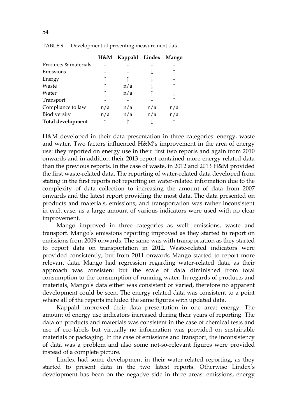|                      | H&M | Kappahl Lindex Mango |     |     |
|----------------------|-----|----------------------|-----|-----|
| Products & materials |     |                      |     |     |
| Emissions            |     |                      |     |     |
| Energy               |     |                      |     |     |
| Waste                |     | n/a                  |     |     |
| Water                |     | n/a                  |     |     |
| Transport            |     |                      |     |     |
| Compliance to law    | n/a | n/a                  | n/a | n/a |
| Biodiversity         | n/a | n/a                  | n/a | n/a |
| Total development    |     |                      |     |     |

TABLE 9 Development of presenting measurement data

H&M developed in their data presentation in three categories: energy, waste and water. Two factors influenced H&M's improvement in the area of energy use: they reported on energy use in their first two reports and again from 2010 onwards and in addition their 2013 report contained more energy-related data than the previous reports. In the case of waste, in 2012 and 2013 H&M provided the first waste-related data. The reporting of water-related data developed from stating in the first reports not reporting on water-related information due to the complexity of data collection to increasing the amount of data from 2007 onwards and the latest report providing the most data. The data presented on products and materials, emissions, and transportation was rather inconsistent in each case, as a large amount of various indicators were used with no clear improvement.

Mango improved in three categories as well: emissions, waste and transport. Mango's emissions reporting improved as they started to report on emissions from 2009 onwards. The same was with transportation as they started to report data on transportation in 2012. Waste-related indicators were provided consistently, but from 2011 onwards Mango started to report more relevant data. Mango had regression regarding water-related data, as their approach was consistent but the scale of data diminished from total consumption to the consumption of running water. In regards of products and materials, Mango's data either was consistent or varied, therefore no apparent development could be seen. The energy related data was consistent to a point where all of the reports included the same figures with updated data.

Kappahl improved their data presentation in one area: energy. The amount of energy use indicators increased during their years of reporting. The data on products and materials was consistent in the case of chemical tests and use of eco-labels but virtually no information was provided on sustainable materials or packaging. In the case of emissions and transport, the inconsistency of data was a problem and also some not-so-relevant figures were provided instead of a complete picture.

Lindex had some development in their water-related reporting, as they started to present data in the two latest reports. Otherwise Lindex's development has been on the negative side in three areas: emissions, energy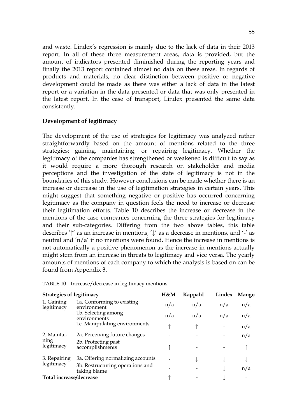and waste. Lindex's regression is mainly due to the lack of data in their 2013 report. In all of these three measurement areas, data is provided, but the amount of indicators presented diminished during the reporting years and finally the 2013 report contained almost no data on these areas. In regards of products and materials, no clear distinction between positive or negative development could be made as there was either a lack of data in the latest report or a variation in the data presented or data that was only presented in the latest report. In the case of transport, Lindex presented the same data consistently.

## Development of legitimacy

The development of the use of strategies for legitimacy was analyzed rather straightforwardly based on the amount of mentions related to the three strategies: gaining, maintaining, or repairing legitimacy. Whether the legitimacy of the companies has strengthened or weakened is difficult to say as it would require a more thorough research on stakeholder and media perceptions and the investigation of the state of legitimacy is not in the boundaries of this study. However conclusions can be made whether there is an increase or decrease in the use of legitimation strategies in certain years. This might suggest that something negative or positive has occurred concerning legitimacy as the company in question feels the need to increase or decrease their legitimation efforts. Table 10 describes the increase or decrease in the mentions of the case companies concerning the three strategies for legitimacy and their sub-categories. Differing from the two above tables, this table describes '↑' as an increase in mentions, '↓' as a decrease in mentions, and '-' as neutral and 'n/a' if no mentions were found. Hence the increase in mentions is not automatically a positive phenomenon as the increase in mentions actually might stem from an increase in threats to legitimacy and vice versa. The yearly amounts of mentions of each company to which the analysis is based on can be found from Appendix 3.

| <b>Strategies of legitimacy</b> |                                                  | H&M | Kappahl | Lindex | Mango |
|---------------------------------|--------------------------------------------------|-----|---------|--------|-------|
| 1. Gaining<br>legitimacy        | 1a. Conforming to existing<br>environment        | n/a | n/a     | n/a    | n/a   |
|                                 | 1b. Selecting among<br>environments              | n/a | n/a     | n/a    | n/a   |
|                                 | 1c. Manipulating environments                    |     |         |        | n/a   |
| 2. Maintai-                     | 2a. Perceiving future changes                    |     |         |        | n/a   |
| ning<br>legitimacy              | 2b. Protecting past<br>accomplishments           |     |         |        |       |
| 3. Repairing                    | 3a. Offering normalizing accounts                |     |         |        |       |
| legitimacy                      | 3b. Restructuring operations and<br>taking blame |     |         |        | n/a   |
| Total increase/decrease         |                                                  |     |         |        |       |

TABLE 10 Increase/decrease in legitimacy mentions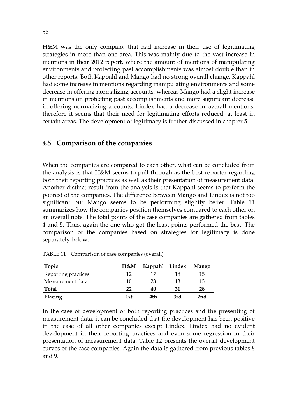H&M was the only company that had increase in their use of legitimating strategies in more than one area. This was mainly due to the vast increase in mentions in their 2012 report, where the amount of mentions of manipulating environments and protecting past accomplishments was almost double than in other reports. Both Kappahl and Mango had no strong overall change. Kappahl had some increase in mentions regarding manipulating environments and some decrease in offering normalizing accounts, whereas Mango had a slight increase in mentions on protecting past accomplishments and more significant decrease in offering normalizing accounts. Lindex had a decrease in overall mentions, therefore it seems that their need for legitimating efforts reduced, at least in certain areas. The development of legitimacy is further discussed in chapter 5.

## 4.5 Comparison of the companies

When the companies are compared to each other, what can be concluded from the analysis is that H&M seems to pull through as the best reporter regarding both their reporting practices as well as their presentation of measurement data. Another distinct result from the analysis is that Kappahl seems to perform the poorest of the companies. The difference between Mango and Lindex is not too significant but Mango seems to be performing slightly better. Table 11 summarizes how the companies position themselves compared to each other on an overall note. The total points of the case companies are gathered from tables 4 and 5. Thus, again the one who got the least points performed the best. The comparison of the companies based on strategies for legitimacy is done separately below.

| Topic               | H&M | <b>Kappahl</b> | Lindex | Mango |
|---------------------|-----|----------------|--------|-------|
| Reporting practices | 12. | 17             | 18     | 15    |
| Measurement data    | 10  | 23             | 13     | 13    |
| <b>Total</b>        | 22  | 40             | 31     | 28    |
| Placing             | 1st | 4th            | 3rd    | 2nd   |

TABLE 11 Comparison of case companies (overall)

In the case of development of both reporting practices and the presenting of measurement data, it can be concluded that the development has been positive in the case of all other companies except Lindex. Lindex had no evident development in their reporting practices and even some regression in their presentation of measurement data. Table 12 presents the overall development curves of the case companies. Again the data is gathered from previous tables 8 and 9.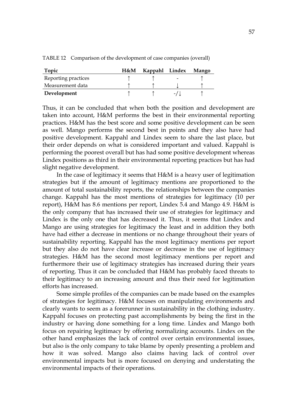| Topic               | H&M | Kappahl Lindex |   | Mango |
|---------------------|-----|----------------|---|-------|
| Reporting practices |     |                | - |       |
| Measurement data    |     |                |   |       |
| Development         |     |                |   |       |

TABLE 12 Comparison of the development of case companies (overall)

Thus, it can be concluded that when both the position and development are taken into account, H&M performs the best in their environmental reporting practices. H&M has the best score and some positive development can be seen as well. Mango performs the second best in points and they also have had positive development. Kappahl and Lindex seem to share the last place, but their order depends on what is considered important and valued. Kappahl is performing the poorest overall but has had some positive development whereas Lindex positions as third in their environmental reporting practices but has had slight negative development.

In the case of legitimacy it seems that H&M is a heavy user of legitimation strategies but if the amount of legitimacy mentions are proportioned to the amount of total sustainability reports, the relationships between the companies change. Kappahl has the most mentions of strategies for legitimacy (10 per report), H&M has 8.6 mentions per report, Lindex 5.4 and Mango 4.9. H&M is the only company that has increased their use of strategies for legitimacy and Lindex is the only one that has decreased it. Thus, it seems that Lindex and Mango are using strategies for legitimacy the least and in addition they both have had either a decrease in mentions or no change throughout their years of sustainability reporting. Kappahl has the most legitimacy mentions per report but they also do not have clear increase or decrease in the use of legitimacy strategies. H&M has the second most legitimacy mentions per report and furthermore their use of legitimacy strategies has increased during their years of reporting. Thus it can be concluded that H&M has probably faced threats to their legitimacy to an increasing amount and thus their need for legitimation efforts has increased.

Some simple profiles of the companies can be made based on the examples of strategies for legitimacy. H&M focuses on manipulating environments and clearly wants to seem as a forerunner in sustainability in the clothing industry. Kappahl focuses on protecting past accomplishments by being the first in the industry or having done something for a long time. Lindex and Mango both focus on repairing legitimacy by offering normalizing accounts. Lindex on the other hand emphasizes the lack of control over certain environmental issues, but also is the only company to take blame by openly presenting a problem and how it was solved. Mango also claims having lack of control over environmental impacts but is more focused on denying and understating the environmental impacts of their operations.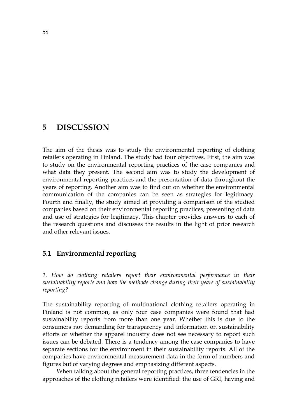# 5 DISCUSSION

The aim of the thesis was to study the environmental reporting of clothing retailers operating in Finland. The study had four objectives. First, the aim was to study on the environmental reporting practices of the case companies and what data they present. The second aim was to study the development of environmental reporting practices and the presentation of data throughout the years of reporting. Another aim was to find out on whether the environmental communication of the companies can be seen as strategies for legitimacy. Fourth and finally, the study aimed at providing a comparison of the studied companies based on their environmental reporting practices, presenting of data and use of strategies for legitimacy. This chapter provides answers to each of the research questions and discusses the results in the light of prior research and other relevant issues.

## 5.1 Environmental reporting

1. How do clothing retailers report their environmental performance in their sustainability reports and how the methods change during their years of sustainability reporting?

The sustainability reporting of multinational clothing retailers operating in Finland is not common, as only four case companies were found that had sustainability reports from more than one year. Whether this is due to the consumers not demanding for transparency and information on sustainability efforts or whether the apparel industry does not see necessary to report such issues can be debated. There is a tendency among the case companies to have separate sections for the environment in their sustainability reports. All of the companies have environmental measurement data in the form of numbers and figures but of varying degrees and emphasizing different aspects.

When talking about the general reporting practices, three tendencies in the approaches of the clothing retailers were identified: the use of GRI, having and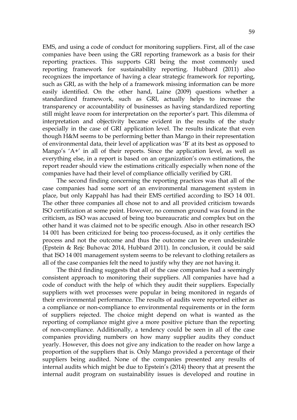EMS, and using a code of conduct for monitoring suppliers. First, all of the case companies have been using the GRI reporting framework as a basis for their reporting practices. This supports GRI being the most commonly used reporting framework for sustainability reporting. Hubbard (2011) also recognizes the importance of having a clear strategic framework for reporting, such as GRI, as with the help of a framework missing information can be more easily identified. On the other hand, Laine (2009) questions whether a standardized framework, such as GRI, actually helps to increase the transparency or accountability of businesses as having standardized reporting still might leave room for interpretation on the reporter's part. This dilemma of interpretation and objectivity became evident in the results of the study especially in the case of GRI application level. The results indicate that even though H&M seems to be performing better than Mango in their representation of environmental data, their level of application was 'B' at its best as opposed to Mango's 'A+' in all of their reports. Since the application level, as well as everything else, in a report is based on an organization's own estimations, the report reader should view the estimations critically especially when none of the companies have had their level of compliance officially verified by GRI.

The second finding concerning the reporting practices was that all of the case companies had some sort of an environmental management system in place, but only Kappahl has had their EMS certified according to ISO 14 001. The other three companies all chose not to and all provided criticism towards ISO certification at some point. However, no common ground was found in the criticism, as ISO was accused of being too bureaucratic and complex but on the other hand it was claimed not to be specific enough. Also in other research ISO 14 001 has been criticized for being too process-focused, as it only certifies the process and not the outcome and thus the outcome can be even undesirable (Epstein & Rejc Buhovac 2014, Hubbard 2011). In conclusion, it could be said that ISO 14 001 management system seems to be relevant to clothing retailers as all of the case companies felt the need to justify why they are not having it.

The third finding suggests that all of the case companies had a seemingly consistent approach to monitoring their suppliers. All companies have had a code of conduct with the help of which they audit their suppliers. Especially suppliers with wet processes were popular in being monitored in regards of their environmental performance. The results of audits were reported either as a compliance or non-compliance to environmental requirements or in the form of suppliers rejected. The choice might depend on what is wanted as the reporting of compliance might give a more positive picture than the reporting of non-compliance. Additionally, a tendency could be seen in all of the case companies providing numbers on how many supplier audits they conduct yearly. However, this does not give any indication to the reader on how large a proportion of the suppliers that is. Only Mango provided a percentage of their suppliers being audited. None of the companies presented any results of internal audits which might be due to Epstein's (2014) theory that at present the internal audit program on sustainability issues is developed and routine in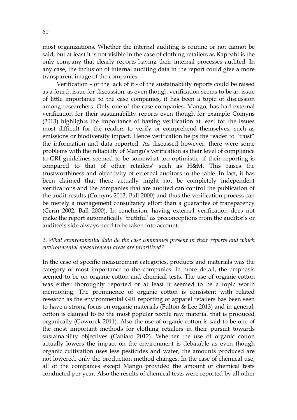most organizations. Whether the internal auditing is routine or not cannot be said, but at least it is not visible in the case of clothing retailers as Kappahl is the only company that clearly reports having their internal processes audited. In any case, the inclusion of internal auditing data in the report could give a more transparent image of the companies.

Verification – or the lack of it - of the sustainability reports could be raised as a fourth issue for discussion, as even though verification seems to be an issue of little importance to the case companies, it has been a topic of discussion among researchers. Only one of the case companies, Mango, has had external verification for their sustainability reports even though for example Comyns (2013) highlights the importance of having verification at least for the issues most difficult for the readers to verify or comprehend themselves, such as emissions or biodiversity impact. Hence verification helps the reader to "trust" the information and data reported. As discussed however, there were some problems with the reliability of Mango's verification as their level of compliance to GRI guidelines seemed to be somewhat too optimistic, if their reporting is compared to that of other retailers' such as H&M. This raises the trustworthiness and objectivity of external auditors to the table. In fact, it has been claimed that there actually might not be completely independent verifications and the companies that are audited can control the publication of the audit results (Comyns 2013, Ball 2000) and thus the verification process can be merely a management consultancy effort than a guarantee of transparency (Cerin 2002, Ball 2000). In conclusion, having external verification does not make the report automatically 'truthful' as preconceptions from the auditor's or auditee's side always need to be taken into account.

## 2. What environmental data do the case companies present in their reports and which environmental measurement areas are prioritized?

In the case of specific measurement categories, products and materials was the category of most importance to the companies. In more detail, the emphasis seemed to be on organic cotton and chemical tests. The use of organic cotton was either thoroughly reported or at least it seemed to be a topic worth mentioning. The prominence of organic cotton is consistent with related research as the environmental GRI reporting of apparel retailers has been seen to have a strong focus on organic materials (Fulton & Lee 2013) and in general, cotton is claimed to be the most popular textile raw material that is produced organically (Goworek 2011). Also the use of organic cotton is said to be one of the most important methods for clothing retailers in their pursuit towards sustainability objectives (Caniato 2012). Whether the use of organic cotton actually lowers the impact on the environment is debatable as even though organic cultivation uses less pesticides and water, the amounts produced are not lowered, only the production method changes. In the case of chemical use, all of the companies except Mango provided the amount of chemical tests conducted per year. Also the results of chemical tests were reported by all other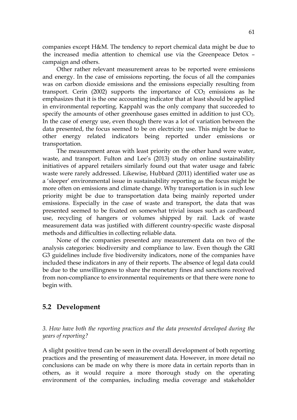companies except H&M. The tendency to report chemical data might be due to the increased media attention to chemical use via the Greenpeace Detox – campaign and others.

Other rather relevant measurement areas to be reported were emissions and energy. In the case of emissions reporting, the focus of all the companies was on carbon dioxide emissions and the emissions especially resulting from transport. Cerin (2002) supports the importance of  $CO<sub>2</sub>$  emissions as he emphasizes that it is the one accounting indicator that at least should be applied in environmental reporting. Kappahl was the only company that succeeded to specify the amounts of other greenhouse gases emitted in addition to just CO<sub>2</sub>. In the case of energy use, even though there was a lot of variation between the data presented, the focus seemed to be on electricity use. This might be due to other energy related indicators being reported under emissions or transportation.

The measurement areas with least priority on the other hand were water, waste, and transport. Fulton and Lee's (2013) study on online sustainability initiatives of apparel retailers similarly found out that water usage and fabric waste were rarely addressed. Likewise, Hubbard (2011) identified water use as a 'sleeper' environmental issue in sustainability reporting as the focus might be more often on emissions and climate change. Why transportation is in such low priority might be due to transportation data being mainly reported under emissions. Especially in the case of waste and transport, the data that was presented seemed to be fixated on somewhat trivial issues such as cardboard use, recycling of hangers or volumes shipped by rail. Lack of waste measurement data was justified with different country-specific waste disposal methods and difficulties in collecting reliable data.

None of the companies presented any measurement data on two of the analysis categories: biodiversity and compliance to law. Even though the GRI G3 guidelines include five biodiversity indicators, none of the companies have included these indicators in any of their reports. The absence of legal data could be due to the unwillingness to share the monetary fines and sanctions received from non-compliance to environmental requirements or that there were none to begin with.

## 5.2 Development

3. How have both the reporting practices and the data presented developed during the years of reporting?

A slight positive trend can be seen in the overall development of both reporting practices and the presenting of measurement data. However, in more detail no conclusions can be made on why there is more data in certain reports than in others, as it would require a more thorough study on the operating environment of the companies, including media coverage and stakeholder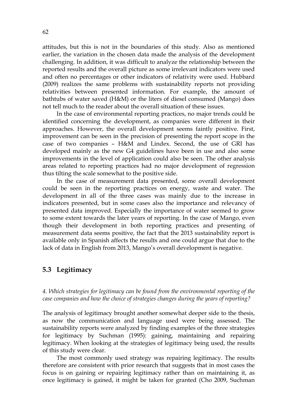attitudes, but this is not in the boundaries of this study. Also as mentioned earlier, the variation in the chosen data made the analysis of the development challenging. In addition, it was difficult to analyze the relationship between the reported results and the overall picture as some irrelevant indicators were used and often no percentages or other indicators of relativity were used. Hubbard (2009) realizes the same problems with sustainability reports not providing relativities between presented information. For example, the amount of bathtubs of water saved (H&M) or the liters of diesel consumed (Mango) does not tell much to the reader about the overall situation of these issues.

In the case of environmental reporting practices, no major trends could be identified concerning the development, as companies were different in their approaches. However, the overall development seems faintly positive. First, improvement can be seen in the precision of presenting the report scope in the case of two companies – H&M and Lindex. Second, the use of GRI has developed mainly as the new G4 guidelines have been in use and also some improvements in the level of application could also be seen. The other analysis areas related to reporting practices had no major development of regression thus tilting the scale somewhat to the positive side.

In the case of measurement data presented, some overall development could be seen in the reporting practices on energy, waste and water. The development in all of the three cases was mainly due to the increase in indicators presented, but in some cases also the importance and relevancy of presented data improved. Especially the importance of water seemed to grow to some extent towards the later years of reporting. In the case of Mango, even though their development in both reporting practices and presenting of measurement data seems positive, the fact that the 2013 sustainability report is available only in Spanish affects the results and one could argue that due to the lack of data in English from 2013, Mango's overall development is negative.

## 5.3 Legitimacy

4. Which strategies for legitimacy can be found from the environmental reporting of the case companies and how the choice of strategies changes during the years of reporting?

The analysis of legitimacy brought another somewhat deeper side to the thesis, as now the communication and language used were being assessed. The sustainability reports were analyzed by finding examples of the three strategies for legitimacy by Suchman (1995): gaining, maintaining and repairing legitimacy. When looking at the strategies of legitimacy being used, the results of this study were clear.

The most commonly used strategy was repairing legitimacy. The results therefore are consistent with prior research that suggests that in most cases the focus is on gaining or repairing legitimacy rather than on maintaining it, as once legitimacy is gained, it might be taken for granted (Cho 2009, Suchman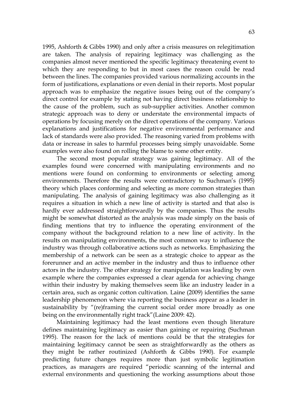1995, Ashforth & Gibbs 1990) and only after a crisis measures on relegitimation are taken. The analysis of repairing legitimacy was challenging as the companies almost never mentioned the specific legitimacy threatening event to which they are responding to but in most cases the reason could be read between the lines. The companies provided various normalizing accounts in the form of justifications, explanations or even denial in their reports. Most popular approach was to emphasize the negative issues being out of the company's direct control for example by stating not having direct business relationship to the cause of the problem, such as sub-supplier activities. Another common strategic approach was to deny or understate the environmental impacts of operations by focusing merely on the direct operations of the company. Various explanations and justifications for negative environmental performance and lack of standards were also provided. The reasoning varied from problems with data or increase in sales to harmful processes being simply unavoidable. Some examples were also found on rolling the blame to some other entity.

The second most popular strategy was gaining legitimacy. All of the examples found were concerned with manipulating environments and no mentions were found on conforming to environments or selecting among environments. Therefore the results were contradictory to Suchman's (1995) theory which places conforming and selecting as more common strategies than manipulating. The analysis of gaining legitimacy was also challenging as it requires a situation in which a new line of activity is started and that also is hardly ever addressed straightforwardly by the companies. Thus the results might be somewhat distorted as the analysis was made simply on the basis of finding mentions that try to influence the operating environment of the company without the background relation to a new line of activity. In the results on manipulating environments, the most common way to influence the industry was through collaborative actions such as networks. Emphasizing the membership of a network can be seen as a strategic choice to appear as the forerunner and an active member in the industry and thus to influence other actors in the industry. The other strategy for manipulation was leading by own example where the companies expressed a clear agenda for achieving change within their industry by making themselves seem like an industry leader in a certain area, such as organic cotton cultivation. Laine (2009) identifies the same leadership phenomenon where via reporting the business appear as a leader in sustainability by "(re)framing the current social order more broadly as one being on the environmentally right track"(Laine 2009: 42).

Maintaining legitimacy had the least mentions even though literature defines maintaining legitimacy as easier than gaining or repairing (Suchman 1995). The reason for the lack of mentions could be that the strategies for maintaining legitimacy cannot be seen as straightforwardly as the others as they might be rather routinized (Ashforth & Gibbs 1990). For example predicting future changes requires more than just symbolic legitimation practices, as managers are required "periodic scanning of the internal and external environments and questioning the working assumptions about those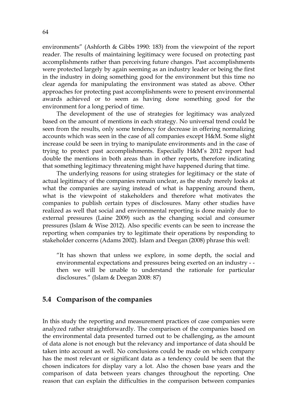environments" (Ashforth & Gibbs 1990: 183) from the viewpoint of the report reader. The results of maintaining legitimacy were focused on protecting past accomplishments rather than perceiving future changes. Past accomplishments were protected largely by again seeming as an industry leader or being the first in the industry in doing something good for the environment but this time no clear agenda for manipulating the environment was stated as above. Other approaches for protecting past accomplishments were to present environmental awards achieved or to seem as having done something good for the environment for a long period of time.

The development of the use of strategies for legitimacy was analyzed based on the amount of mentions in each strategy. No universal trend could be seen from the results, only some tendency for decrease in offering normalizing accounts which was seen in the case of all companies except H&M. Some slight increase could be seen in trying to manipulate environments and in the case of trying to protect past accomplishments. Especially H&M's 2012 report had double the mentions in both areas than in other reports, therefore indicating that something legitimacy threatening might have happened during that time.

The underlying reasons for using strategies for legitimacy or the state of actual legitimacy of the companies remain unclear, as the study merely looks at what the companies are saying instead of what is happening around them, what is the viewpoint of stakeholders and therefore what motivates the companies to publish certain types of disclosures. Many other studies have realized as well that social and environmental reporting is done mainly due to external pressures (Laine 2009) such as the changing social and consumer pressures (Islam & Wise 2012). Also specific events can be seen to increase the reporting when companies try to legitimate their operations by responding to stakeholder concerns (Adams 2002). Islam and Deegan (2008) phrase this well:

"It has shown that unless we explore, in some depth, the social and environmental expectations and pressures being exerted on an industry - then we will be unable to understand the rationale for particular disclosures." (Islam & Deegan 2008: 87)

## 5.4 Comparison of the companies

In this study the reporting and measurement practices of case companies were analyzed rather straightforwardly. The comparison of the companies based on the environmental data presented turned out to be challenging, as the amount of data alone is not enough but the relevancy and importance of data should be taken into account as well. No conclusions could be made on which company has the most relevant or significant data as a tendency could be seen that the chosen indicators for display vary a lot. Also the chosen base years and the comparison of data between years changes throughout the reporting. One reason that can explain the difficulties in the comparison between companies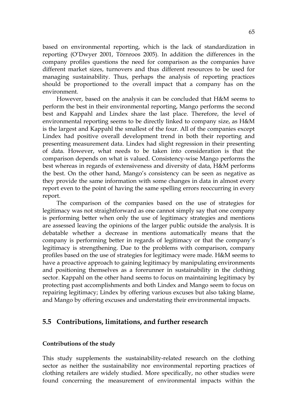based on environmental reporting, which is the lack of standardization in reporting (O'Dwyer 2001, Törnroos 2005). In addition the differences in the company profiles questions the need for comparison as the companies have different market sizes, turnovers and thus different resources to be used for managing sustainability. Thus, perhaps the analysis of reporting practices should be proportioned to the overall impact that a company has on the environment.

However, based on the analysis it can be concluded that H&M seems to perform the best in their environmental reporting, Mango performs the second best and Kappahl and Lindex share the last place. Therefore, the level of environmental reporting seems to be directly linked to company size, as H&M is the largest and Kappahl the smallest of the four. All of the companies except Lindex had positive overall development trend in both their reporting and presenting measurement data. Lindex had slight regression in their presenting of data. However, what needs to be taken into consideration is that the comparison depends on what is valued. Consistency-wise Mango performs the best whereas in regards of extensiveness and diversity of data, H&M performs the best. On the other hand, Mango's consistency can be seen as negative as they provide the same information with some changes in data in almost every report even to the point of having the same spelling errors reoccurring in every report.

The comparison of the companies based on the use of strategies for legitimacy was not straightforward as one cannot simply say that one company is performing better when only the use of legitimacy strategies and mentions are assessed leaving the opinions of the larger public outside the analysis. It is debatable whether a decrease in mentions automatically means that the company is performing better in regards of legitimacy or that the company's legitimacy is strengthening. Due to the problems with comparison, company profiles based on the use of strategies for legitimacy were made. H&M seems to have a proactive approach to gaining legitimacy by manipulating environments and positioning themselves as a forerunner in sustainability in the clothing sector. Kappahl on the other hand seems to focus on maintaining legitimacy by protecting past accomplishments and both Lindex and Mango seem to focus on repairing legitimacy; Lindex by offering various excuses but also taking blame, and Mango by offering excuses and understating their environmental impacts.

## 5.5 Contributions, limitations, and further research

## Contributions of the study

This study supplements the sustainability-related research on the clothing sector as neither the sustainability nor environmental reporting practices of clothing retailers are widely studied. More specifically, no other studies were found concerning the measurement of environmental impacts within the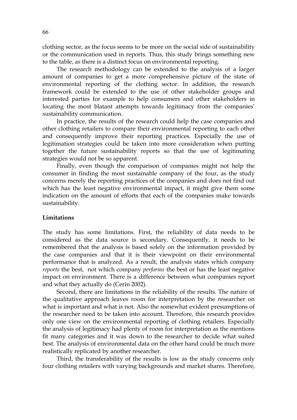clothing sector, as the focus seems to be more on the social side of sustainability or the communication used in reports. Thus, this study brings something new to the table, as there is a distinct focus on environmental reporting.

The research methodology can be extended to the analysis of a larger amount of companies to get a more comprehensive picture of the state of environmental reporting of the clothing sector. In addition, the research framework could be extended to the use of other stakeholder groups and interested parties for example to help consumers and other stakeholders in locating the most blatant attempts towards legitimacy from the companies' sustainability communication.

In practice, the results of the research could help the case companies and other clothing retailers to compare their environmental reporting to each other and consequently improve their reporting practices. Especially the use of legitimation strategies could be taken into more consideration when putting together the future sustainability reports so that the use of legitimating strategies would not be so apparent.

Finally, even though the comparison of companies might not help the consumer in finding the most sustainable company of the four, as the study concerns merely the reporting practices of the companies and does not find out which has the least negative environmental impact, it might give them some indication on the amount of efforts that each of the companies make towards sustainability.

#### Limitations

The study has some limitations. First, the reliability of data needs to be considered as the data source is secondary. Consequently, it needs to be remembered that the analysis is based solely on the information provided by the case companies and that it is their viewpoint on their environmental performance that is analyzed. As a result, the analysis states which company *reports* the best, not which company *performs* the best or has the least negative impact on environment. There is a difference between what companies report and what they actually do (Cerin 2002).

Second, there are limitations in the reliability of the results. The nature of the qualitative approach leaves room for interpretation by the researcher on what is important and what is not. Also the somewhat evident presumptions of the researcher need to be taken into account. Therefore, this research provides only one view on the environmental reporting of clothing retailers. Especially the analysis of legitimacy had plenty of room for interpretation as the mentions fit many categories and it was down to the researcher to decide what suited best. The analysis of environmental data on the other hand could be much more realistically replicated by another researcher.

Third, the transferability of the results is low as the study concerns only four clothing retailers with varying backgrounds and market shares. Therefore,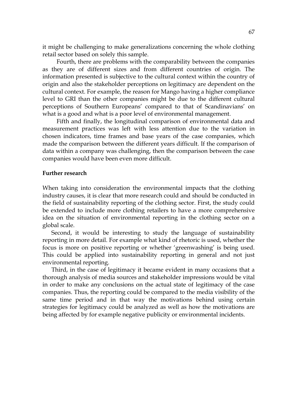it might be challenging to make generalizations concerning the whole clothing retail sector based on solely this sample.

Fourth, there are problems with the comparability between the companies as they are of different sizes and from different countries of origin. The information presented is subjective to the cultural context within the country of origin and also the stakeholder perceptions on legitimacy are dependent on the cultural context. For example, the reason for Mango having a higher compliance level to GRI than the other companies might be due to the different cultural perceptions of Southern Europeans' compared to that of Scandinavians' on what is a good and what is a poor level of environmental management.

Fifth and finally, the longitudinal comparison of environmental data and measurement practices was left with less attention due to the variation in chosen indicators, time frames and base years of the case companies, which made the comparison between the different years difficult. If the comparison of data within a company was challenging, then the comparison between the case companies would have been even more difficult.

#### Further research

When taking into consideration the environmental impacts that the clothing industry causes, it is clear that more research could and should be conducted in the field of sustainability reporting of the clothing sector. First, the study could be extended to include more clothing retailers to have a more comprehensive idea on the situation of environmental reporting in the clothing sector on a global scale.

Second, it would be interesting to study the language of sustainability reporting in more detail. For example what kind of rhetoric is used, whether the focus is more on positive reporting or whether 'greenwashing' is being used. This could be applied into sustainability reporting in general and not just environmental reporting.

Third, in the case of legitimacy it became evident in many occasions that a thorough analysis of media sources and stakeholder impressions would be vital in order to make any conclusions on the actual state of legitimacy of the case companies. Thus, the reporting could be compared to the media visibility of the same time period and in that way the motivations behind using certain strategies for legitimacy could be analyzed as well as how the motivations are being affected by for example negative publicity or environmental incidents.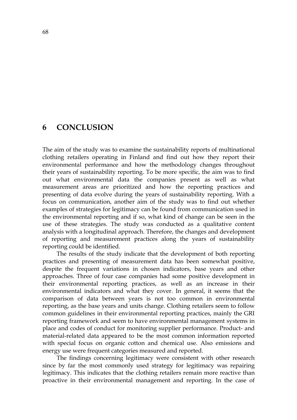# 6 CONCLUSION

The aim of the study was to examine the sustainability reports of multinational clothing retailers operating in Finland and find out how they report their environmental performance and how the methodology changes throughout their years of sustainability reporting. To be more specific, the aim was to find out what environmental data the companies present as well as what measurement areas are prioritized and how the reporting practices and presenting of data evolve during the years of sustainability reporting. With a focus on communication, another aim of the study was to find out whether examples of strategies for legitimacy can be found from communication used in the environmental reporting and if so, what kind of change can be seen in the use of these strategies. The study was conducted as a qualitative content analysis with a longitudinal approach. Therefore, the changes and development of reporting and measurement practices along the years of sustainability reporting could be identified.

The results of the study indicate that the development of both reporting practices and presenting of measurement data has been somewhat positive, despite the frequent variations in chosen indicators, base years and other approaches. Three of four case companies had some positive development in their environmental reporting practices, as well as an increase in their environmental indicators and what they cover. In general, it seems that the comparison of data between years is not too common in environmental reporting, as the base years and units change. Clothing retailers seem to follow common guidelines in their environmental reporting practices, mainly the GRI reporting framework and seem to have environmental management systems in place and codes of conduct for monitoring supplier performance. Product- and material-related data appeared to be the most common information reported with special focus on organic cotton and chemical use. Also emissions and energy use were frequent categories measured and reported.

The findings concerning legitimacy were consistent with other research since by far the most commonly used strategy for legitimacy was repairing legitimacy. This indicates that the clothing retailers remain more reactive than proactive in their environmental management and reporting. In the case of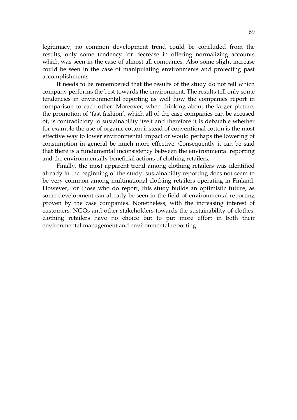legitimacy, no common development trend could be concluded from the results, only some tendency for decrease in offering normalizing accounts which was seen in the case of almost all companies. Also some slight increase could be seen in the case of manipulating environments and protecting past accomplishments.

It needs to be remembered that the results of the study do not tell which company performs the best towards the environment. The results tell only some tendencies in environmental reporting as well how the companies report in comparison to each other. Moreover, when thinking about the larger picture, the promotion of 'fast fashion', which all of the case companies can be accused of, is contradictory to sustainability itself and therefore it is debatable whether for example the use of organic cotton instead of conventional cotton is the most effective way to lower environmental impact or would perhaps the lowering of consumption in general be much more effective. Consequently it can be said that there is a fundamental inconsistency between the environmental reporting and the environmentally beneficial actions of clothing retailers.

Finally, the most apparent trend among clothing retailers was identified already in the beginning of the study: sustainability reporting does not seem to be very common among multinational clothing retailers operating in Finland. However, for those who do report, this study builds an optimistic future, as some development can already be seen in the field of environmental reporting proven by the case companies. Nonetheless, with the increasing interest of customers, NGOs and other stakeholders towards the sustainability of clothes, clothing retailers have no choice but to put more effort in both their environmental management and environmental reporting.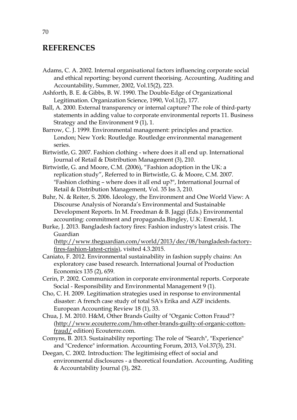# **REFERENCES**

- Adams, C. A. 2002. Internal organisational factors influencing corporate social and ethical reporting: beyond current theorising. Accounting, Auditing and Accountability, Summer, 2002, Vol.15(2), 223.
- Ashforth, B. E. & Gibbs, B. W. 1990. The Double-Edge of Organizational Legitimation. Organization Science, 1990, Vol.1(2), 177.
- Ball, A. 2000. External transparency or internal capture? The role of third-party statements in adding value to corporate environmental reports 11. Business Strategy and the Environment 9 (1), 1.
- Barrow, C. J. 1999. Environmental management: principles and practice. London; New York: Routledge. Routledge environmental management series.
- Birtwistle, G. 2007. Fashion clothing where does it all end up. International Journal of Retail & Distribution Management (3), 210.
- Birtwistle, G. and Moore, C.M. (2006), "Fashion adoption in the UK: a replication study", Referred to in Birtwistle, G. & Moore, C.M. 2007. "Fashion clothing – where does it all end up?", International Journal of Retail & Distribution Management, Vol. 35 Iss 3, 210.
- Buhr, N. & Reiter, S. 2006. Ideology, the Environment and One World View: A Discourse Analysis of Noranda's Environmental and Sustainable Development Reports. In M. Freedman & B. Jaggi (Eds.) Environmental accounting: commitment and propaganda.Bingley, U.K: Emerald, 1.
- Burke, J. 2013. Bangladesh factory fires: Fashion industry's latest crisis. The Guardian (http://www.theguardian.com/world/2013/dec/08/bangladesh-factory-

fires-fashion-latest-crisis), visited 4.3.2015.

- Caniato, F. 2012. Environmental sustainability in fashion supply chains: An exploratory case based research. International Journal of Production Economics 135 (2), 659.
- Cerin, P. 2002. Communication in corporate environmental reports. Corporate Social - Responsibility and Environmental Management 9 (1).
- Cho, C. H. 2009. Legitimation strategies used in response to environmental disaster: A french case study of total SA's Erika and AZF incidents. European Accounting Review 18 (1), 33.
- Chua, J. M. 2010. H&M, Other Brands Guilty of "Organic Cotton Fraud"? (http://www.ecouterre.com/hm-other-brands-guilty-of-organic-cottonfraud/ edition) Ecouterre.com.
- Comyns, B. 2013. Sustainability reporting: The role of "Search", "Experience" and "Credence" information. Accounting Forum, 2013, Vol.37(3), 231.
- Deegan, C. 2002. Introduction: The legitimising effect of social and environmental disclosures - a theoretical foundation. Accounting, Auditing & Accountability Journal (3), 282.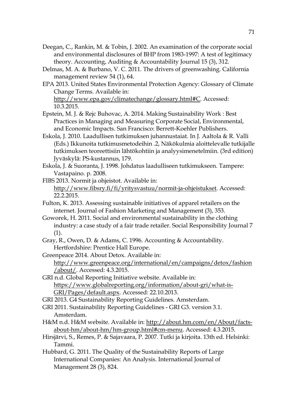- Deegan, C., Rankin, M. & Tobin, J. 2002. An examination of the corporate social and environmental disclosures of BHP from 1983-1997: A test of legitimacy theory. Accounting, Auditing & Accountability Journal 15 (3), 312.
- Delmas, M. A. & Burbano, V. C. 2011. The drivers of greenwashing. California management review 54 (1), 64.
- EPA 2013. United States Environmental Protection Agency: Glossary of Climate Change Terms. Available in:

http://www.epa.gov/climatechange/glossary.html#C. Accessed: 10.3.2015.

- Epstein, M. J. & Rejc Buhovac, A. 2014. Making Sustainability Work : Best Practices in Managing and Measuring Corporate Social, Environmental, and Economic Impacts. San Francisco: Berrett-Koehler Publishers.
- Eskola, J. 2010. Laadullisen tutkimuksen juhannustaiat. In J. Aaltola & R. Valli (Eds.) Ikkunoita tutkimusmetodeihin .2, Näkökulmia aloittelevalle tutkijalle tutkimuksen teoreettisiin lähtökohtiin ja analyysimenetelmiin. (3rd edition) Jyväskylä: PS-kustannus, 179.
- Eskola, J. & Suoranta, J. 1998. Johdatus laadulliseen tutkimukseen. Tampere: Vastapaino. p. 2008.
- FIBS 2013. Normit ja ohjeistot. Available in:

- Fulton, K. 2013. Assessing sustainable initiatives of apparel retailers on the internet. Journal of Fashion Marketing and Management (3), 353.
- Goworek, H. 2011. Social and environmental sustainability in the clothing industry: a case study of a fair trade retailer. Social Responsibility Journal 7 (1).
- Gray, R., Owen, D. & Adams, C. 1996. Accounting & Accountability. Hertfordshire: Prentice Hall Europe.
- Greenpeace 2014. About Detox. Available in: http://www.greenpeace.org/international/en/campaigns/detox/fashion /about/. Accessed: 4.3.2015.
- GRI n.d. Global Reporting Initiative website. Available in: https://www.globalreporting.org/information/about-gri/what-is-GRI/Pages/default.aspx. Accessed: 22.10.2013.
- GRI 2013. G4 Sustainability Reporting Guidelines. Amsterdam.
- GRI 2011. Sustainability Reporting Guidelines GRI G3. version 3.1. Amsterdam.
- H&M n.d. H&M website. Available in: http://about.hm.com/en/About/factsabout-hm/about-hm/hm-group.html#cm-menu. Accessed: 4.3.2015.
- Hirsjärvi, S., Remes, P. & Sajavaara, P. 2007. Tutki ja kirjoita. 13th ed. Helsinki: Tammi.
- Hubbard, G. 2011. The Quality of the Sustainability Reports of Large International Companies: An Analysis. International Journal of Management 28 (3), 824.

http://www.fibsry.fi/fi/yritysvastuu/normit-ja-ohjeistukset. Accessed: 22.2.2015.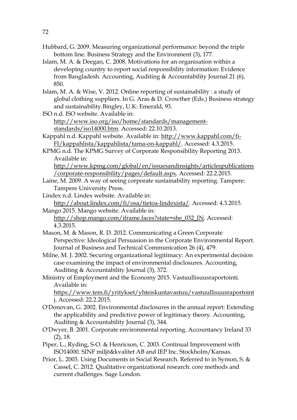- Hubbard, G. 2009. Measuring organizational performance: beyond the triple bottom line. Business Strategy and the Environment (3), 177.
- Islam, M. A. & Deegan, C. 2008. Motivations for an organisation within a developing country to report social responsibility information: Evidence from Bangladesh. Accounting, Auditing & Accountability Journal 21 (6), 850.
- Islam, M. A. & Wise, V. 2012. Online reporting of sustainability : a study of global clothing suppliers. In G. Aras & D. Crowther (Eds.) Business strategy and sustainability.Bingley, U.K: Emerald, 93.
- ISO n.d. ISO website. Available in: http://www.iso.org/iso/home/standards/managementstandards/iso14000.htm. Accessed: 22.10.2013.
- Kappahl n.d. Kappahl website. Available in: http://www.kappahl.com/fi-FI/kappahlista/kappahlista/tama-on-kappahl/. Accessed: 4.3.2015.

KPMG n.d. The KPMG Survey of Corporate Responsibility Reporting 2013. Available in:

http://www.kpmg.com/global/en/issuesandinsights/articlespublications /corporate-responsibility/pages/default.aspx. Accessed: 22.2.2015.

- Laine, M. 2009. A way of seeing corporate sustainability reporting. Tampere: Tampere University Press.
- Lindex n.d. Lindex website. Available in: http://about.lindex.com/fi/osa/tietoa-lindexista/. Accessed: 4.3.2015.

Mango 2015. Mango website. Available in: http://shop.mango.com/iframe.faces?state=she\_032\_IN. Accessed: 4.3.2015.

Mason, M. & Mason, R. D. 2012. Communicating a Green Corporate Perspective: Ideological Persuasion in the Corporate Environmental Report. Journal of Business and Technical Communication 26 (4), 479.

Milne, M. J. 2002. Securing organizational legitimacy: An experimental decision case examining the impact of environmental disclosures. Accounting, Auditing & Accountability Journal (3), 372.

Ministry of Employment and the Economy 2015. Vastuullisuusraportointi. Available in:

https://www.tem.fi/yritykset/yhteiskuntavastuu/vastuullisuusraportoint i. Accessed: 22.2.2015.

- O'Donovan, G. 2002. Environmental disclosures in the annual report: Extending the applicability and predictive power of legitimacy theory. Accounting, Auditing & Accountability Journal (3), 344.
- O'Dwyer, B. 2001. Corporate environmental reporting. Accountancy Ireland 33 (2), 18.
- Piper, L., Ryding, S-O. & Henricson, C. 2003. Continual Improvement with ISO14000. SINF miljö&kvalitet AB and IEP Inc. Stockholm/Kansas.
- Prior, L. 2003. Using Documents in Social Research. Referred to in Symon, S. & Cassel, C. 2012. Qualitative organizational research: core methods and current challenges. Sage London.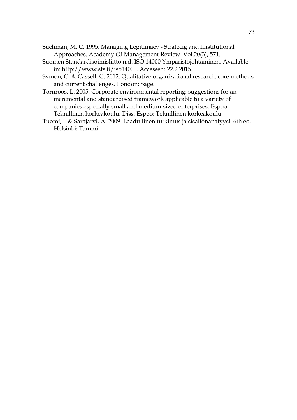- Suchman, M. C. 1995. Managing Legitimacy Stratecig and Iinstitutional Approaches. Academy Of Management Review. Vol.20(3), 571.
- Suomen Standardisoimisliitto n.d. ISO 14000 Ympäristöjohtaminen. Available in: http://www.sfs.fi/iso14000. Accessed: 22.2.2015.
- Symon, G. & Cassell, C. 2012. Qualitative organizational research: core methods and current challenges. London: Sage.
- Törnroos, L. 2005. Corporate environmental reporting: suggestions for an incremental and standardised framework applicable to a variety of companies especially small and medium-sized enterprises. Espoo: Teknillinen korkeakoulu. Diss. Espoo: Teknillinen korkeakoulu.
- Tuomi, J. & Sarajärvi, A. 2009. Laadullinen tutkimus ja sisällönanalyysi. 6th ed. Helsinki: Tammi.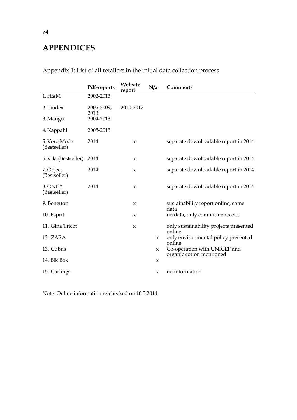## APPENDICES

|                              | Pdf-reports       | Website<br>report   | N/a                 | <b>Comments</b>                                  |
|------------------------------|-------------------|---------------------|---------------------|--------------------------------------------------|
| 1. H&M                       | 2002-2013         |                     |                     |                                                  |
| 2. Lindex                    | 2005-2009,        | 2010-2012           |                     |                                                  |
| 3. Mango                     | 2013<br>2004-2013 |                     |                     |                                                  |
| 4. Kappahl                   | 2008-2013         |                     |                     |                                                  |
| 5. Vero Moda<br>(Bestseller) | 2014              | $\boldsymbol{\chi}$ |                     | separate downloadable report in 2014             |
| 6. Vila (Bestseller)         | 2014              | $\boldsymbol{\chi}$ |                     | separate downloadable report in 2014             |
| 7. Object<br>(Bestseller)    | 2014              | $\boldsymbol{\chi}$ |                     | separate downloadable report in 2014             |
| 8. ONLY<br>(Bestseller)      | 2014              | $\boldsymbol{\chi}$ |                     | separate downloadable report in 2014             |
| 9. Benetton                  |                   | $\mathbf x$         |                     | sustainability report online, some<br>data       |
| 10. Esprit                   |                   | $\boldsymbol{\chi}$ |                     | no data, only commitments etc.                   |
| 11. Gina Tricot              |                   | $\boldsymbol{\chi}$ |                     | only sustainability projects presented<br>online |
| 12. ZARA                     |                   |                     | $\mathsf{x}$        | only environmental policy presented<br>online    |
| 13. Cubus                    |                   |                     | $\boldsymbol{\chi}$ | Co-operation with UNICEF and                     |
| 14. Bik Bok                  |                   |                     | $\mathbf x$         | organic cotton mentioned                         |
| 15. Carlings                 |                   |                     | X                   | no information                                   |

Appendix 1: List of all retailers in the initial data collection process

Note: Online information re-checked on 10.3.2014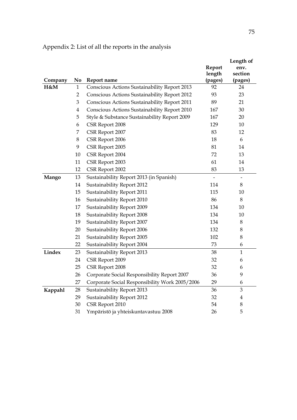|         |                |                                                     |         | Length of                |
|---------|----------------|-----------------------------------------------------|---------|--------------------------|
|         |                |                                                     | Report  | env.                     |
|         |                |                                                     | length  | section                  |
| Company | No             | Report name                                         | (pages) | (pages)                  |
| H&M     | $\mathbf{1}$   | Conscious Actions Sustainability Report 2013        | 92      | 24                       |
|         | $\overline{2}$ | <b>Conscious Actions Sustainability Report 2012</b> | 93      | 23                       |
|         | 3              | Conscious Actions Sustainability Report 2011        | 89      | 21                       |
|         | 4              | Conscious Actions Sustainability Report 2010        | 167     | 30                       |
|         | 5              | Style & Substance Sustainability Report 2009        | 167     | 20                       |
|         | 6              | CSR Report 2008                                     | 129     | 10                       |
|         | 7              | CSR Report 2007                                     | 83      | 12                       |
|         | $8\,$          | CSR Report 2006                                     | 18      | 6                        |
|         | 9              | CSR Report 2005                                     | 81      | 14                       |
|         | 10             | CSR Report 2004                                     | 72      | 13                       |
|         | 11             | CSR Report 2003                                     | 61      | 14                       |
|         | 12             | CSR Report 2002                                     | 83      | 13                       |
| Mango   | 13             | Sustainability Report 2013 (in Spanish)             |         | $\overline{\phantom{0}}$ |
|         | 14             | Sustainability Report 2012                          | 114     | 8                        |
|         | 15             | Sustainability Report 2011                          | 115     | 10                       |
|         | 16             | Sustainability Report 2010                          | 86      | 8                        |
|         | 17             | Sustainability Report 2009                          | 134     | 10                       |
|         | 18             | Sustainability Report 2008                          | 134     | 10                       |
|         | 19             | Sustainability Report 2007                          | 134     | 8                        |
|         | 20             | Sustainability Report 2006                          | 132     | 8                        |
|         | 21             | Sustainability Report 2005                          | 102     | 8                        |
|         | 22             | Sustainability Report 2004                          | 73      | 6                        |
| Lindex  | 23             | Sustainability Report 2013                          | 38      | $\mathbf{1}$             |
|         | 24             | CSR Report 2009                                     | 32      | 6                        |
|         | 25             | CSR Report 2008                                     | 32      | 6                        |
|         | 26             | Corporate Social Responsibility Report 2007         | 36      | 9                        |
|         | 27             | Corporate Social Responsibility Work 2005/2006      | 29      | 6                        |
| Kappahl | 28             | Sustainability Report 2013                          | 36      | 3                        |
|         | 29             | Sustainability Report 2012                          | 32      | $\overline{\mathbf{4}}$  |
|         | 30             | CSR Report 2010                                     | 54      | $8\,$                    |
|         | 31             | Ympäristö ja yhteiskuntavastuu 2008                 | 26      | 5                        |

Appendix 2: List of all the reports in the analysis